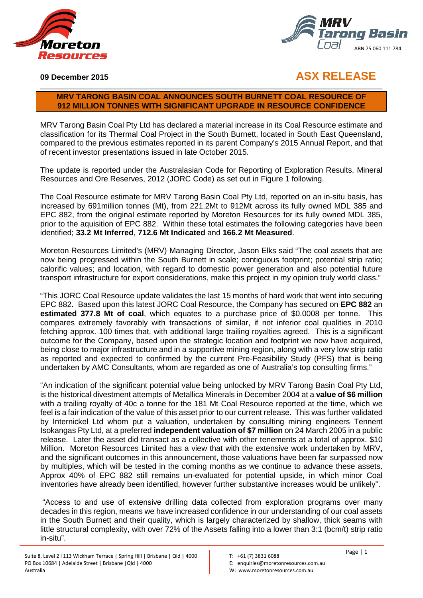



# **09 December 2015 ASX RELEASE**

#### **MRV TARONG BASIN COAL ANNOUNCES SOUTH BURNETT COAL RESOURCE OF 912 MILLION TONNES WITH SIGNIFICANT UPGRADE IN RESOURCE CONFIDENCE**

MRV Tarong Basin Coal Pty Ltd has declared a material increase in its Coal Resource estimate and classification for its Thermal Coal Project in the South Burnett, located in South East Queensland, compared to the previous estimates reported in its parent Company's 2015 Annual Report, and that of recent investor presentations issued in late October 2015.

The update is reported under the Australasian Code for Reporting of Exploration Results, Mineral Resources and Ore Reserves, 2012 (JORC Code) as set out in Figure 1 following.

The Coal Resource estimate for MRV Tarong Basin Coal Pty Ltd, reported on an in-situ basis, has increased by 691million tonnes (Mt), from 221.2Mt to 912Mt across its fully owned MDL 385 and EPC 882, from the original estimate reported by Moreton Resources for its fully owned MDL 385, prior to the aquisition of EPC 882. Within these total estimates the following categories have been identified; **33.2 Mt Inferred**, **712.6 Mt Indicated** and **166.2 Mt Measured**.

Moreton Resources Limited's (MRV) Managing Director, Jason Elks said "The coal assets that are now being progressed within the South Burnett in scale; contiguous footprint; potential strip ratio; calorific values; and location, with regard to domestic power generation and also potential future transport infrastructure for export considerations, make this project in my opinion truly world class."

"This JORC Coal Resource update validates the last 15 months of hard work that went into securing EPC 882. Based upon this latest JORC Coal Resource, the Company has secured on **EPC 882** an **estimated 377.8 Mt of coal**, which equates to a purchase price of \$0.0008 per tonne. This compares extremely favorably with transactions of similar, if not inferior coal qualities in 2010 fetching approx. 100 times that, with additional large trailing royalties agreed. This is a significant outcome for the Company, based upon the strategic location and footprint we now have acquired, being close to major infrastructure and in a supportive mining region, along with a very low strip ratio as reported and expected to confirmed by the current Pre-Feasibility Study (PFS) that is being undertaken by AMC Consultants, whom are regarded as one of Australia's top consulting firms."

"An indication of the significant potential value being unlocked by MRV Tarong Basin Coal Pty Ltd, is the historical divestment attempts of Metallica Minerals in December 2004 at a **value of \$6 million**  with a trailing royalty of 40c a tonne for the 181 Mt Coal Resource reported at the time, which we feel is a fair indication of the value of this asset prior to our current release. This was further validated by Internickel Ltd whom put a valuation, undertaken by consulting mining engineers Tennent Isokangas Pty Ltd, at a preferred **independent valuation of \$7 million** on 24 March 2005 in a public release. Later the asset did transact as a collective with other tenements at a total of approx. \$10 Million. Moreton Resources Limited has a view that with the extensive work undertaken by MRV, and the significant outcomes in this announcement, those valuations have been far surpassed now by multiples, which will be tested in the coming months as we continue to advance these assets. Approx 40% of EPC 882 still remains un-evaluated for potential upside, in which minor Coal inventories have already been identified, however further substantive increases would be unlikely".

"Access to and use of extensive drilling data collected from exploration programs over many decades in this region, means we have increased confidence in our understanding of our coal assets in the South Burnett and their quality, which is largely characterized by shallow, thick seams with little structural complexity, with over 72% of the Assets falling into a lower than 3:1 (bcm/t) strip ratio in-situ".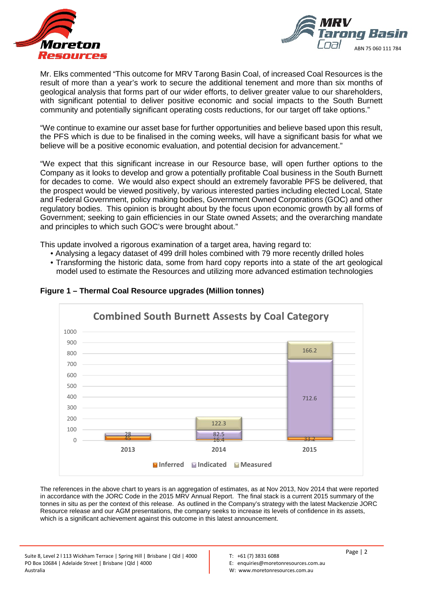



Mr. Elks commented "This outcome for MRV Tarong Basin Coal, of increased Coal Resources is the result of more than a year's work to secure the additional tenement and more than six months of geological analysis that forms part of our wider efforts, to deliver greater value to our shareholders, with significant potential to deliver positive economic and social impacts to the South Burnett community and potentially significant operating costs reductions, for our target off take options."

"We continue to examine our asset base for further opportunities and believe based upon this result, the PFS which is due to be finalised in the coming weeks, will have a significant basis for what we believe will be a positive economic evaluation, and potential decision for advancement."

"We expect that this significant increase in our Resource base, will open further options to the Company as it looks to develop and grow a potentially profitable Coal business in the South Burnett for decades to come. We would also expect should an extremely favorable PFS be delivered, that the prospect would be viewed positively, by various interested parties including elected Local, State and Federal Government, policy making bodies, Government Owned Corporations (GOC) and other regulatory bodies. This opinion is brought about by the focus upon economic growth by all forms of Government; seeking to gain efficiencies in our State owned Assets; and the overarching mandate and principles to which such GOC's were brought about."

This update involved a rigorous examination of a target area, having regard to:

- Analysing a legacy dataset of 499 drill holes combined with 79 more recently drilled holes
- Transforming the historic data, some from hard copy reports into a state of the art geological model used to estimate the Resources and utilizing more advanced estimation technologies



#### **Figure 1 – Thermal Coal Resource upgrades (Million tonnes)**

The references in the above chart to years is an aggregation of estimates, as at Nov 2013, Nov 2014 that were reported in accordance with the JORC Code in the 2015 MRV Annual Report. The final stack is a current 2015 summary of the tonnes in situ as per the context of this release. As outlined in the Company's strategy with the latest Mackenzie JORC Resource release and our AGM presentations, the company seeks to increase its levels of confidence in its assets, which is a significant achievement against this outcome in this latest announcement.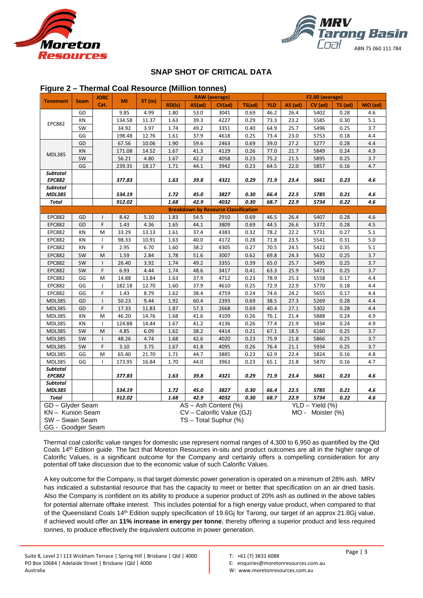



#### **SNAP SHOT OF CRITICAL DATA**

#### **Figure 2 – Thermal Coal Resource (Million tonnes)**

|                                |             | <b>JORC</b>       |                |               |              |              | <b>RAW</b> (average)                        |              | F2.00 (average) |              |                   |              |            |  |
|--------------------------------|-------------|-------------------|----------------|---------------|--------------|--------------|---------------------------------------------|--------------|-----------------|--------------|-------------------|--------------|------------|--|
| <b>Tenement</b>                | <b>Seam</b> | Cat.              | Mt             | ST(m)         | RD(is)       | AS(ad)       | CV(ad)                                      | TS(ad)       | <b>YLD</b>      | AS (ad)      | $CV$ (ad)         | TS (ad)      | MO (ad)    |  |
|                                | GD          |                   | 9.85           | 4.99          | 1.80         | 53.0         | 3041                                        | 0.69         | 46.2            | 26.4         | 5402              | 0.28         | 4.6        |  |
| <b>EPC882</b>                  | KN          |                   | 134.58         | 11.37         | 1.63         | 39.3         | 4227                                        | 0.29         | 73.3            | 23.2         | 5585              | 0.30         | 5.1        |  |
|                                | SW          |                   | 34.92          | 3.97          | 1.74         | 49.2         | 3351                                        | 0.40         | 64.9            | 25.7         | 5496              | 0.25         | 3.7        |  |
|                                | GG          |                   | 198.48         | 12.76         | 1.61         | 37.9         | 4618                                        | 0.25         | 73.4            | 23.0         | 5753              | 0.18         | 4.4        |  |
|                                | GD          |                   | 67.56          | 10.06         | 1.90         | 59.6         | 2463                                        | 0.69         | 39.0            | 27.2         | 5277              | 0.28         | 4.4        |  |
| <b>MDL385</b>                  | KN          |                   | 171.08         | 14.52         | 1.67         | 41.3         | 4129                                        | 0.26         | 77.0            | 21.7         | 5849              | 0.24         | 4.9        |  |
|                                | SW          |                   | 56.21          | 4.80          | 1.67         | 42.2         | 4058                                        | 0.23         | 75.2            | 21.5         | 5895              | 0.25         | 3.7        |  |
|                                | GG          |                   | 239.35         | 18.17         | 1.71         | 44.1         | 3942                                        | 0.23         | 64.5            | 22.0         | 5857              | 0.16         | 4.7        |  |
| <b>Subtotal</b>                |             |                   |                |               |              |              |                                             |              |                 |              |                   |              |            |  |
| <b>EPC882</b>                  |             |                   | 377.83         |               | 1.63         | 39.8         | 4321                                        | 0.29         | 71.9            | 23.4         | 5661              | 0.23         | 4.6        |  |
| <b>Subtotal</b>                |             |                   |                |               |              |              |                                             |              |                 |              |                   |              |            |  |
| <b>MDL385</b>                  |             |                   | 534.19         |               | 1.72         | 45.0         | 3827                                        | 0.30         | 66.4            | 22.5         | 5785              | 0.21         | 4.6        |  |
| <b>Total</b>                   |             |                   | 912.02         |               | 1.68         | 42.9         | 4032                                        | 0.30         | 68.7            | 22.9         | 5734              | 0.22         | 4.6        |  |
|                                |             |                   |                |               |              |              | <b>Breakdown by Resource Classification</b> |              |                 |              |                   |              |            |  |
| <b>EPC882</b>                  | GD          | ı                 | 8.42           | 5.10          | 1.83         | 54.5         | 2910                                        | 0.69         | 46.5            | 26.4         | 5407              | 0.28         | 4.6        |  |
| <b>EPC882</b>                  | GD          | F                 | 1.43           | 4.36          | 1.65         | 44.1         | 3809                                        | 0.69         | 44.5            | 26.6         | 5372              | 0.28         | 4.5        |  |
| <b>EPC882</b>                  | KN          | M                 | 33.29          | 13.13         | 1.61         | 37.4         | 4383                                        | 0.32         | 78.2            | 22.2         | 5731              | 0.27         | 5.1        |  |
| <b>EPC882</b>                  | KN          | $\mathbf{I}$      | 98.33          | 10.91         | 1.63         | 40.0         | 4172                                        | 0.28         | 71.8            | 23.5         | 5541              | 0.31         | 5.0        |  |
| <b>EPC882</b>                  | KN          | F                 | 2.95           | 6.70          | 1.60         | 38.2         | 4305                                        | 0.27         | 70.5            | 24.5         | 5422              | 0.35         | 5.1        |  |
| <b>EPC882</b>                  | SW          | M                 | 1.59           | 2.84          | 1.78         | 51.6         | 3007                                        | 0.62         | 69.8            | 24.3         | 5632              | 0.25         | 3.7        |  |
| <b>EPC882</b>                  | SW          | $\mathbf{I}$      | 26.40          | 3.92          | 1.74         | 49.2         | 3355                                        | 0.39         | 65.0            | 25.7         | 5495              | 0.25         | 3.7        |  |
| <b>EPC882</b>                  | SW          | F                 | 6.93           | 4.44          | 1.74         | 48.6         | 3417                                        | 0.41         | 63.3            | 25.9         | 5471              | 0.25         | 3.7        |  |
| <b>EPC882</b>                  | GG          | M                 | 14.88          | 13.84         | 1.63         | 37.9         | 4712                                        | 0.23         | 78.9            | 25.3         | 5558              | 0.17         | 4.4        |  |
| <b>EPC882</b>                  | GG          | $\mathbf{I}$      | 182.18         | 12.70         | 1.60         | 37.9         | 4610                                        | 0.25         | 72.9            | 22.9         | 5770              | 0.18         | 4.4        |  |
| EPC882                         | GG          | F                 | 1.43           | 8.79          | 1.62         | 38.4         | 4759                                        | 0.24         | 74.6            | 24.2         | 5655              | 0.17         | 4.4        |  |
| <b>MDL385</b>                  | GD          | ı<br>F            | 50.23          | 9.44          | 1.92         | 60.4         | 2393                                        | 0.69         | 38.5            | 27.3         | 5269              | 0.28         | 4.4        |  |
| <b>MDL385</b>                  | GD<br>KN    | M                 | 17.33<br>46.20 | 11.83         | 1.87         | 57.3         | 2668<br>4109                                | 0.69         | 40.4            | 27.1<br>21.4 | 5302              | 0.28<br>0.24 | 4.4<br>4.9 |  |
| <b>MDL385</b>                  |             |                   |                | 14.76         | 1.68         | 41.6         |                                             | 0.26         | 76.1            |              | 5888              |              |            |  |
| <b>MDL385</b><br><b>MDL385</b> | ΚN<br>SW    | $\mathbf{I}$<br>M | 124.88<br>4.85 | 14.44<br>6.09 | 1.67         | 41.2<br>38.2 | 4136<br>4414                                | 0.26<br>0.21 | 77.4<br>67.1    | 21.9<br>18.5 | 5834<br>6160      | 0.24<br>0.25 | 4.9<br>3.7 |  |
| <b>MDL385</b>                  | SW          | $\mathbf{I}$      |                | 4.74          | 1.62         | 42.6         | 4020                                        | 0.23         | 75.9            | 21.8         | 5866              | 0.25         |            |  |
| MDL385                         |             | F                 | 48.26          |               | 1.68         |              |                                             |              |                 |              |                   |              | 3.7        |  |
| <b>MDL385</b>                  | SW<br>GG    | M                 | 3.10<br>65.40  | 3.75<br>21.70 | 1.67<br>1.71 | 41.8<br>44.7 | 4095<br>3885                                | 0.26<br>0.23 | 76.4<br>62.9    | 21.1<br>22.4 | 5934<br>5824      | 0.25<br>0.16 | 3.7<br>4.8 |  |
| <b>MDL385</b>                  | GG          | $\mathbf{I}$      |                |               |              |              |                                             | 0.23         |                 |              |                   |              | 4.7        |  |
| <b>Subtotal</b>                |             |                   | 173.95         | 16.84         | 1.70         | 44.0         | 3963                                        |              | 65.1            | 21.8         | 5870              | 0.16         |            |  |
| <b>EPC882</b>                  |             |                   | 377.83         |               | 1.63         | 39.8         | 4321                                        | 0.29         | 71.9            | 23.4         | 5661              | 0.23         | 4.6        |  |
| Subtotal                       |             |                   |                |               |              |              |                                             |              |                 |              |                   |              |            |  |
| <b>MDL385</b>                  |             |                   | 534.19         |               | 1.72         | 45.0         | 3827                                        | 0.30         | 66.4            | 22.5         | 5785              | 0.21         | 4.6        |  |
| <b>Total</b>                   |             |                   | 912.02         |               | 1.68         | 42.9         | 4032                                        | 0.30         | 68.7            | 22.9         | 5734              | 0.22         | 4.6        |  |
| GD - Glyder Seam               |             |                   |                |               |              |              | AS - Ash Content (%)                        |              |                 |              | $YLD - Yield$ (%) |              |            |  |
| KN - Kunion Seam               |             |                   |                |               |              |              | CV - Calorific Value (GJ)                   |              |                 |              | MO - Moister (%)  |              |            |  |
| SW - Swain Seam                |             |                   |                |               |              |              | TS - Total Suphur (%)                       |              |                 |              |                   |              |            |  |
| GG - Goodger Seam              |             |                   |                |               |              |              |                                             |              |                 |              |                   |              |            |  |

Thermal coal calorific value ranges for domestic use represent normal ranges of 4,300 to 6,950 as quantified by the Qld Coals 14th Edition guide. The fact that Moreton Resources in-situ and product outcomes are all in the higher range of Calorific Values, is a significant outcome for the Company and certainly offers a compelling consideration for any potential off take discussion due to the economic value of such Calorific Values.

A key outcome for the Company, is that target domestic power generation is operated on a minimum of 28% ash. MRV has indicated a substantial resource that has the capacity to meet or better that specification on an air dried basis. Also the Company is confident on its ability to produce a superior product of 20% ash as outlined in the above tables for potential alternate offtake interest. This includes potential for a high energy value product, when compared to that of the Queensland Coals 14th Edition supply specification of 19.6Gj for Tarong, our target of an approx 21.8Gj value, if achieved would offer an **11% increase in energy per tonne**, thereby offering a superior product and less required tonnes, to produce effectively the equivalent outcome in power generation.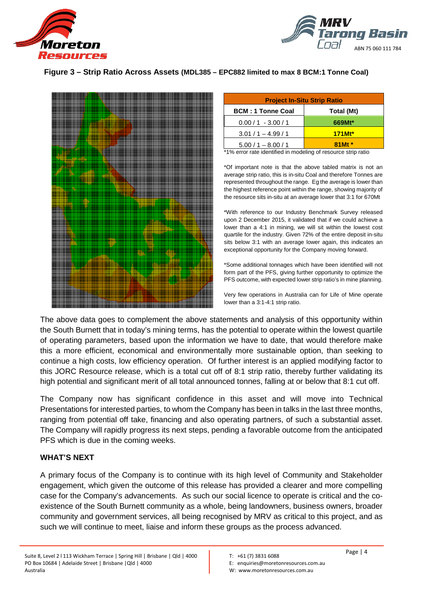



#### **Figure 3 – Strip Ratio Across Assets (MDL385 – EPC882 limited to max 8 BCM:1 Tonne Coal)**



| <b>Project In-Situ Strip Ratio</b> |  |  |  |  |  |  |
|------------------------------------|--|--|--|--|--|--|
| Total (Mt)                         |  |  |  |  |  |  |
| 669Mt*                             |  |  |  |  |  |  |
| $171M*$                            |  |  |  |  |  |  |
| 81Mt *                             |  |  |  |  |  |  |
|                                    |  |  |  |  |  |  |

\*1% error rate identified in modeling of resource strip ratio

\*Of important note is that the above tabled matrix is not an average strip ratio, this is in-situ Coal and therefore Tonnes are represented throughout the range. Eg the average is lower than the highest reference point within the range, showing majority of the resource sits in-situ at an average lower that 3:1 for 670Mt

\*With reference to our Industry Benchmark Survey released upon 2 December 2015, it validated that if we could achieve a lower than a 4:1 in mining, we will sit within the lowest cost quartile for the industry. Given 72% of the entire deposit in-situ sits below 3:1 with an average lower again, this indicates an exceptional opportunity for the Company moving forward.

\*Some additional tonnages which have been identified will not form part of the PFS, giving further opportunity to optimize the PFS outcome, with expected lower strip ratio's in mine planning.

Very few operations in Australia can for Life of Mine operate lower than a 3:1-4:1 strip ratio.

The above data goes to complement the above statements and analysis of this opportunity within the South Burnett that in today's mining terms, has the potential to operate within the lowest quartile of operating parameters, based upon the information we have to date, that would therefore make this a more efficient, economical and environmentally more sustainable option, than seeking to continue a high costs, low efficiency operation. Of further interest is an applied modifying factor to this JORC Resource release, which is a total cut off of 8:1 strip ratio, thereby further validating its high potential and significant merit of all total announced tonnes, falling at or below that 8:1 cut off.

The Company now has significant confidence in this asset and will move into Technical Presentations for interested parties, to whom the Company has been in talks in the last three months, ranging from potential off take, financing and also operating partners, of such a substantial asset. The Company will rapidly progress its next steps, pending a favorable outcome from the anticipated PFS which is due in the coming weeks.

#### **WHAT'S NEXT**

A primary focus of the Company is to continue with its high level of Community and Stakeholder engagement, which given the outcome of this release has provided a clearer and more compelling case for the Company's advancements. As such our social licence to operate is critical and the coexistence of the South Burnett community as a whole, being landowners, business owners, broader community and government services, all being recognised by MRV as critical to this project, and as such we will continue to meet, liaise and inform these groups as the process advanced.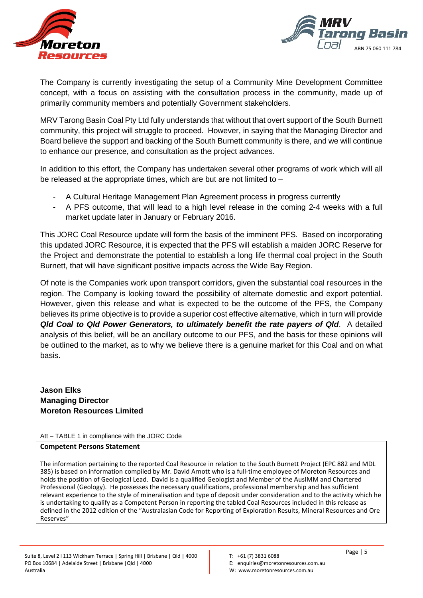



The Company is currently investigating the setup of a Community Mine Development Committee concept, with a focus on assisting with the consultation process in the community, made up of primarily community members and potentially Government stakeholders.

MRV Tarong Basin Coal Pty Ltd fully understands that without that overt support of the South Burnett community, this project will struggle to proceed. However, in saying that the Managing Director and Board believe the support and backing of the South Burnett community is there, and we will continue to enhance our presence, and consultation as the project advances.

In addition to this effort, the Company has undertaken several other programs of work which will all be released at the appropriate times, which are but are not limited to –

- A Cultural Heritage Management Plan Agreement process in progress currently
- A PFS outcome, that will lead to a high level release in the coming 2-4 weeks with a full market update later in January or February 2016.

This JORC Coal Resource update will form the basis of the imminent PFS. Based on incorporating this updated JORC Resource, it is expected that the PFS will establish a maiden JORC Reserve for the Project and demonstrate the potential to establish a long life thermal coal project in the South Burnett, that will have significant positive impacts across the Wide Bay Region.

Of note is the Companies work upon transport corridors, given the substantial coal resources in the region. The Company is looking toward the possibility of alternate domestic and export potential. However, given this release and what is expected to be the outcome of the PFS, the Company believes its prime objective is to provide a superior cost effective alternative, which in turn will provide *Qld Coal to Qld Power Generators, to ultimately benefit the rate payers of Qld*. A detailed analysis of this belief, will be an ancillary outcome to our PFS, and the basis for these opinions will be outlined to the market, as to why we believe there is a genuine market for this Coal and on what basis.

#### **Jason Elks Managing Director Moreton Resources Limited**

#### Att – TABLE 1 in compliance with the JORC Code

#### **Competent Persons Statement**

The information pertaining to the reported Coal Resource in relation to the South Burnett Project (EPC 882 and MDL 385) is based on information compiled by Mr. David Arnott who is a full-time employee of Moreton Resources and holds the position of Geological Lead. David is a qualified Geologist and Member of the AusIMM and Chartered Professional (Geology). He possesses the necessary qualifications, professional membership and has sufficient relevant experience to the style of mineralisation and type of deposit under consideration and to the activity which he is undertaking to qualify as a Competent Person in reporting the tabled Coal Resources included in this release as defined in the 2012 edition of the "Australasian Code for Reporting of Exploration Results, Mineral Resources and Ore Reserves"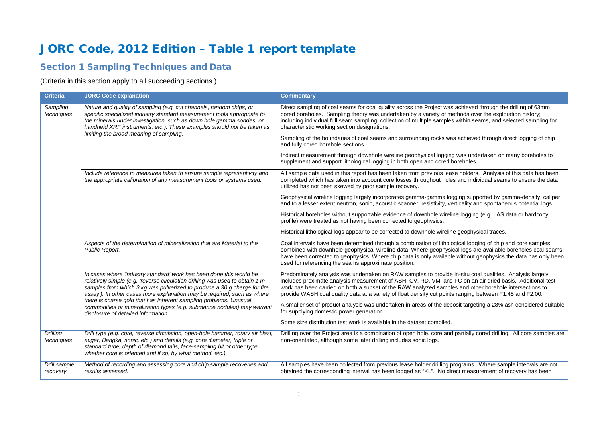# JORC Code, 2012 Edition – Table 1 report template

### Section 1 Sampling Techniques and Data

#### (Criteria in this section apply to all succeeding sections.)

| <b>Criteria</b>          | <b>JORC Code explanation</b>                                                                                                                                                                                                                                                                               | <b>Commentary</b>                                                                                                                                                                                                                                                                                                                                                                                                                           |
|--------------------------|------------------------------------------------------------------------------------------------------------------------------------------------------------------------------------------------------------------------------------------------------------------------------------------------------------|---------------------------------------------------------------------------------------------------------------------------------------------------------------------------------------------------------------------------------------------------------------------------------------------------------------------------------------------------------------------------------------------------------------------------------------------|
| Sampling<br>techniques   | Nature and quality of sampling (e.g. cut channels, random chips, or<br>specific specialized industry standard measurement tools appropriate to<br>the minerals under investigation, such as down hole gamma sondes, or<br>handheld XRF instruments, etc.). These examples should not be taken as           | Direct sampling of coal seams for coal quality across the Project was achieved through the drilling of 63mm<br>cored boreholes. Sampling theory was undertaken by a variety of methods over the exploration history;<br>including individual full seam sampling, collection of multiple samples within seams, and selected sampling for<br>characteristic working section designations.                                                     |
|                          | limiting the broad meaning of sampling.                                                                                                                                                                                                                                                                    | Sampling of the boundaries of coal seams and surrounding rocks was achieved through direct logging of chip<br>and fully cored borehole sections.                                                                                                                                                                                                                                                                                            |
|                          |                                                                                                                                                                                                                                                                                                            | Indirect measurement through downhole wireline geophysical logging was undertaken on many boreholes to<br>supplement and support lithological logging in both open and cored boreholes.                                                                                                                                                                                                                                                     |
|                          | Include reference to measures taken to ensure sample representivity and<br>the appropriate calibration of any measurement tools or systems used.                                                                                                                                                           | All sample data used in this report has been taken from previous lease holders. Analysis of this data has been<br>completed which has taken into account core losses throughout holes and individual seams to ensure the data<br>utilized has not been skewed by poor sample recovery.                                                                                                                                                      |
|                          |                                                                                                                                                                                                                                                                                                            | Geophysical wireline logging largely incorporates gamma-gamma logging supported by gamma-density, caliper<br>and to a lesser extent neutron, sonic, acoustic scanner, resistivity, verticality and spontaneous potential logs.                                                                                                                                                                                                              |
|                          |                                                                                                                                                                                                                                                                                                            | Historical boreholes without supportable evidence of downhole wireline logging (e.g. LAS data or hardcopy<br>profile) were treated as not having been corrected to geophysics.                                                                                                                                                                                                                                                              |
|                          |                                                                                                                                                                                                                                                                                                            | Historical lithological logs appear to be corrected to downhole wireline geophysical traces.                                                                                                                                                                                                                                                                                                                                                |
|                          | Aspects of the determination of mineralization that are Material to the<br>Public Report.                                                                                                                                                                                                                  | Coal intervals have been determined through a combination of lithological logging of chip and core samples<br>combined with downhole geophysical wireline data. Where geophysical logs are available boreholes coal seams<br>have been corrected to geophysics. Where chip data is only available without geophysics the data has only been<br>used for referencing the seams approximate position.                                         |
|                          | In cases where 'industry standard' work has been done this would be<br>relatively simple (e.g. 'reverse circulation drilling was used to obtain 1 m<br>samples from which 3 kg was pulverized to produce a 30 g charge for fire<br>assay'). In other cases more explanation may be required, such as where | Predominately analysis was undertaken on RAW samples to provide in-situ coal qualities. Analysis largely<br>includes proximate analysis measurement of ASH, CV, RD, VM, and FC on an air dried basis. Additional test<br>work has been carried on both a subset of the RAW analyzed samples and other borehole intersections to<br>provide WASH coal quality data at a variety of float density cut points ranging between F1.45 and F2.00. |
|                          | there is coarse gold that has inherent sampling problems. Unusual<br>commodities or mineralization types (e.g. submarine nodules) may warrant<br>disclosure of detailed information.                                                                                                                       | A smaller set of product analysis was undertaken in areas of the deposit targeting a 28% ash considered suitable<br>for supplying domestic power generation.                                                                                                                                                                                                                                                                                |
|                          |                                                                                                                                                                                                                                                                                                            | Some size distribution test work is available in the dataset compiled.                                                                                                                                                                                                                                                                                                                                                                      |
| Drilling<br>techniques   | Drill type (e.g. core, reverse circulation, open-hole hammer, rotary air blast,<br>auger, Bangka, sonic, etc.) and details (e.g. core diameter, triple or<br>standard tube, depth of diamond tails, face-sampling bit or other type,<br>whether core is oriented and if so, by what method, etc.).         | Drilling over the Project area is a combination of open hole, core and partially cored drilling. All core samples are<br>non-orientated, although some later drilling includes sonic logs.                                                                                                                                                                                                                                                  |
| Drill sample<br>recovery | Method of recording and assessing core and chip sample recoveries and<br>results assessed.                                                                                                                                                                                                                 | All samples have been collected from previous lease holder drilling programs. Where sample intervals are not<br>obtained the corresponding interval has been logged as "KL". No direct measurement of recovery has been                                                                                                                                                                                                                     |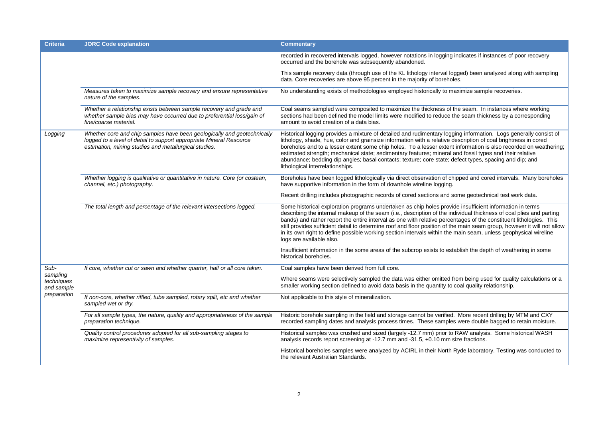| Criteria                 | <b>JORC Code explanation</b>                                                                                                                                                                            | <b>Commentary</b>                                                                                                                                                                                                                                                                                                                                                                                                                                                                                                                                                                                                              |  |  |  |  |  |
|--------------------------|---------------------------------------------------------------------------------------------------------------------------------------------------------------------------------------------------------|--------------------------------------------------------------------------------------------------------------------------------------------------------------------------------------------------------------------------------------------------------------------------------------------------------------------------------------------------------------------------------------------------------------------------------------------------------------------------------------------------------------------------------------------------------------------------------------------------------------------------------|--|--|--|--|--|
|                          |                                                                                                                                                                                                         | recorded in recovered intervals logged, however notations in logging indicates if instances of poor recovery<br>occurred and the borehole was subsequently abandoned.                                                                                                                                                                                                                                                                                                                                                                                                                                                          |  |  |  |  |  |
|                          |                                                                                                                                                                                                         | This sample recovery data (through use of the KL lithology interval logged) been analyzed along with sampling<br>data. Core recoveries are above 95 percent in the majority of boreholes.                                                                                                                                                                                                                                                                                                                                                                                                                                      |  |  |  |  |  |
|                          | Measures taken to maximize sample recovery and ensure representative<br>nature of the samples.                                                                                                          | No understanding exists of methodologies employed historically to maximize sample recoveries.                                                                                                                                                                                                                                                                                                                                                                                                                                                                                                                                  |  |  |  |  |  |
|                          | Whether a relationship exists between sample recovery and grade and<br>whether sample bias may have occurred due to preferential loss/gain of<br>fine/coarse material.                                  | Coal seams sampled were composited to maximize the thickness of the seam. In instances where working<br>sections had been defined the model limits were modified to reduce the seam thickness by a corresponding<br>amount to avoid creation of a data bias.                                                                                                                                                                                                                                                                                                                                                                   |  |  |  |  |  |
| Logging                  | Whether core and chip samples have been geologically and geotechnically<br>logged to a level of detail to support appropriate Mineral Resource<br>estimation, mining studies and metallurgical studies. | Historical logging provides a mixture of detailed and rudimentary logging information. Logs generally consist of<br>lithology, shade, hue, color and grainsize information with a relative description of coal brightness in cored<br>boreholes and to a lesser extent some chip holes. To a lesser extent information is also recorded on weathering;<br>estimated strength; mechanical state; sedimentary features; mineral and fossil types and their relative<br>abundance; bedding dip angles; basal contacts; texture; core state; defect types, spacing and dip; and<br>lithological interrelationships.                |  |  |  |  |  |
|                          | Whether logging is qualitative or quantitative in nature. Core (or costean,<br>channel, etc.) photography.                                                                                              | Boreholes have been logged lithologically via direct observation of chipped and cored intervals. Many boreholes<br>have supportive information in the form of downhole wireline logging.                                                                                                                                                                                                                                                                                                                                                                                                                                       |  |  |  |  |  |
|                          |                                                                                                                                                                                                         | Recent drilling includes photographic records of cored sections and some geotechnical test work data.                                                                                                                                                                                                                                                                                                                                                                                                                                                                                                                          |  |  |  |  |  |
|                          | The total length and percentage of the relevant intersections logged.                                                                                                                                   | Some historical exploration programs undertaken as chip holes provide insufficient information in terms<br>describing the internal makeup of the seam (i.e., description of the individual thickness of coal plies and parting<br>bands) and rather report the entire interval as one with relative percentages of the constituent lithologies. This<br>still provides sufficient detail to determine roof and floor position of the main seam group, however it will not allow<br>in its own right to define possible working section intervals within the main seam, unless geophysical wireline<br>logs are available also. |  |  |  |  |  |
|                          |                                                                                                                                                                                                         | Insufficient information in the some areas of the subcrop exists to establish the depth of weathering in some<br>historical boreholes.                                                                                                                                                                                                                                                                                                                                                                                                                                                                                         |  |  |  |  |  |
| Sub-<br>sampling         | If core, whether cut or sawn and whether quarter, half or all core taken.                                                                                                                               | Coal samples have been derived from full core.                                                                                                                                                                                                                                                                                                                                                                                                                                                                                                                                                                                 |  |  |  |  |  |
| techniques<br>and sample |                                                                                                                                                                                                         | Where seams were selectively sampled the data was either omitted from being used for quality calculations or a<br>smaller working section defined to avoid data basis in the quantity to coal quality relationship.                                                                                                                                                                                                                                                                                                                                                                                                            |  |  |  |  |  |
| preparation              | If non-core, whether riffled, tube sampled, rotary split, etc and whether<br>sampled wet or dry.                                                                                                        | Not applicable to this style of mineralization.                                                                                                                                                                                                                                                                                                                                                                                                                                                                                                                                                                                |  |  |  |  |  |
|                          | For all sample types, the nature, quality and appropriateness of the sample<br>preparation technique.                                                                                                   | Historic borehole sampling in the field and storage cannot be verified. More recent drilling by MTM and CXY<br>recorded sampling dates and analysis process times. These samples were double bagged to retain moisture.                                                                                                                                                                                                                                                                                                                                                                                                        |  |  |  |  |  |
|                          | Quality control procedures adopted for all sub-sampling stages to<br>maximize representivity of samples.                                                                                                | Historical samples was crushed and sized (largely -12.7 mm) prior to RAW analysis. Some historical WASH<br>analysis records report screening at -12.7 mm and -31.5, +0.10 mm size fractions.                                                                                                                                                                                                                                                                                                                                                                                                                                   |  |  |  |  |  |
|                          |                                                                                                                                                                                                         | Historical boreholes samples were analyzed by ACIRL in their North Ryde laboratory. Testing was conducted to<br>the relevant Australian Standards.                                                                                                                                                                                                                                                                                                                                                                                                                                                                             |  |  |  |  |  |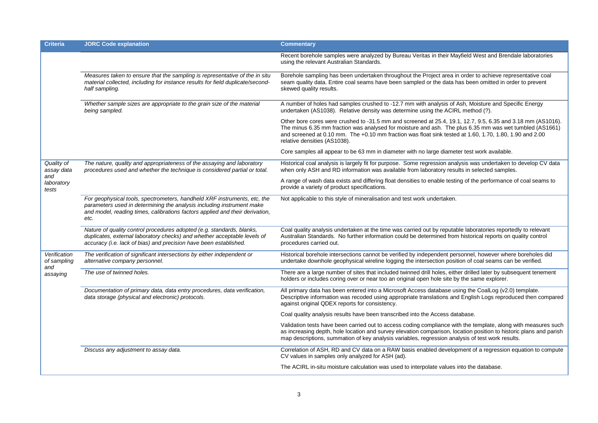| <b>Criteria</b>             | <b>JORC Code explanation</b>                                                                                                                                                                                                              | <b>Commentary</b>                                                                                                                                                                                                                                                                                                                                                 |  |  |  |  |
|-----------------------------|-------------------------------------------------------------------------------------------------------------------------------------------------------------------------------------------------------------------------------------------|-------------------------------------------------------------------------------------------------------------------------------------------------------------------------------------------------------------------------------------------------------------------------------------------------------------------------------------------------------------------|--|--|--|--|
|                             |                                                                                                                                                                                                                                           | Recent borehole samples were analyzed by Bureau Veritas in their Mayfield West and Brendale laboratories<br>using the relevant Australian Standards.                                                                                                                                                                                                              |  |  |  |  |
|                             | Measures taken to ensure that the sampling is representative of the in situ<br>material collected, including for instance results for field duplicate/second-<br>half sampling.                                                           | Borehole sampling has been undertaken throughout the Project area in order to achieve representative coal<br>seam quality data. Entire coal seams have been sampled or the data has been omitted in order to prevent<br>skewed quality results.                                                                                                                   |  |  |  |  |
|                             | Whether sample sizes are appropriate to the grain size of the material<br>being sampled.                                                                                                                                                  | A number of holes had samples crushed to -12.7 mm with analysis of Ash, Moisture and Specific Energy<br>undertaken (AS1038). Relative density was determine using the ACIRL method (?).                                                                                                                                                                           |  |  |  |  |
|                             |                                                                                                                                                                                                                                           | Other bore cores were crushed to -31.5 mm and screened at 25.4, 19.1, 12.7, 9.5, 6.35 and 3.18 mm (AS1016).<br>The minus 6.35 mm fraction was analysed for moisture and ash. The plus 6.35 mm was wet tumbled (AS1661)<br>and screened at 0.10 mm. The +0.10 mm fraction was float sink tested at 1.60, 1.70, 1.80, 1.90 and 2.00<br>relative densities (AS1038). |  |  |  |  |
|                             |                                                                                                                                                                                                                                           | Core samples all appear to be 63 mm in diameter with no large diameter test work available.                                                                                                                                                                                                                                                                       |  |  |  |  |
| Quality of<br>assay data    | The nature, quality and appropriateness of the assaying and laboratory<br>procedures used and whether the technique is considered partial or total.                                                                                       | Historical coal analysis is largely fit for purpose. Some regression analysis was undertaken to develop CV data<br>when only ASH and RD information was available from laboratory results in selected samples.                                                                                                                                                    |  |  |  |  |
| and<br>laboratory<br>tests  |                                                                                                                                                                                                                                           | A range of wash data exists and differing float densities to enable testing of the performance of coal seams to<br>provide a variety of product specifications.                                                                                                                                                                                                   |  |  |  |  |
|                             | For geophysical tools, spectrometers, handheld XRF instruments, etc, the<br>parameters used in determining the analysis including instrument make<br>and model, reading times, calibrations factors applied and their derivation,<br>etc. | Not applicable to this style of mineralisation and test work undertaken.                                                                                                                                                                                                                                                                                          |  |  |  |  |
|                             | Nature of quality control procedures adopted (e.g. standards, blanks,<br>duplicates, external laboratory checks) and whether acceptable levels of<br>accuracy (i.e. lack of bias) and precision have been established.                    | Coal quality analysis undertaken at the time was carried out by reputable laboratories reportedly to relevant<br>Australian Standards. No further information could be determined from historical reports on quality control<br>procedures carried out.                                                                                                           |  |  |  |  |
| Verification<br>of sampling | The verification of significant intersections by either independent or<br>alternative company personnel.                                                                                                                                  | Historical borehole intersections cannot be verified by independent personnel, however where boreholes did<br>undertake downhole geophysical wireline logging the intersection position of coal seams can be verified.                                                                                                                                            |  |  |  |  |
| and<br>assaying             | The use of twinned holes.                                                                                                                                                                                                                 | There are a large number of sites that included twinned drill holes, either drilled later by subsequent tenement<br>holders or includes coring over or near too an original open hole site by the same explorer.                                                                                                                                                  |  |  |  |  |
|                             | Documentation of primary data, data entry procedures, data verification,<br>data storage (physical and electronic) protocols.                                                                                                             | All primary data has been entered into a Microsoft Access database using the CoalLog (v2.0) template.<br>Descriptive information was recoded using appropriate translations and English Logs reproduced then compared<br>against original QDEX reports for consistency.                                                                                           |  |  |  |  |
|                             |                                                                                                                                                                                                                                           | Coal quality analysis results have been transcribed into the Access database.                                                                                                                                                                                                                                                                                     |  |  |  |  |
|                             |                                                                                                                                                                                                                                           | Validation tests have been carried out to access coding compliance with the template, along with measures such<br>as increasing depth, hole location and survey elevation comparison, location position to historic plans and parish<br>map descriptions, summation of key analysis variables, regression analysis of test work results.                          |  |  |  |  |
|                             | Discuss any adjustment to assay data.                                                                                                                                                                                                     | Correlation of ASH, RD and CV data on a RAW basis enabled development of a regression equation to compute<br>CV values in samples only analyzed for ASH (ad).                                                                                                                                                                                                     |  |  |  |  |
|                             |                                                                                                                                                                                                                                           | The ACIRL in-situ moisture calculation was used to interpolate values into the database.                                                                                                                                                                                                                                                                          |  |  |  |  |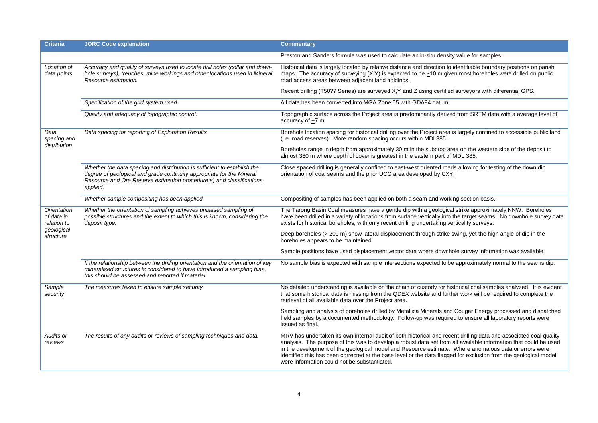| <b>Criteria</b>                          | <b>JORC Code explanation</b>                                                                                                                                                                                                          | <b>Commentary</b>                                                                                                                                                                                                                                                                                                                                                                                                                                                                                                  |
|------------------------------------------|---------------------------------------------------------------------------------------------------------------------------------------------------------------------------------------------------------------------------------------|--------------------------------------------------------------------------------------------------------------------------------------------------------------------------------------------------------------------------------------------------------------------------------------------------------------------------------------------------------------------------------------------------------------------------------------------------------------------------------------------------------------------|
|                                          |                                                                                                                                                                                                                                       | Preston and Sanders formula was used to calculate an in-situ density value for samples.                                                                                                                                                                                                                                                                                                                                                                                                                            |
| Location of<br>data points               | Accuracy and quality of surveys used to locate drill holes (collar and down-<br>hole surveys), trenches, mine workings and other locations used in Mineral<br>Resource estimation.                                                    | Historical data is largely located by relative distance and direction to identifiable boundary positions on parish<br>maps. The accuracy of surveying $(X,Y)$ is expected to be $\leq 10$ m given most boreholes were drilled on public<br>road access areas between adjacent land holdings.                                                                                                                                                                                                                       |
|                                          |                                                                                                                                                                                                                                       | Recent drilling (T50?? Series) are surveyed X, Y and Z using certified surveyors with differential GPS.                                                                                                                                                                                                                                                                                                                                                                                                            |
|                                          | Specification of the grid system used.                                                                                                                                                                                                | All data has been converted into MGA Zone 55 with GDA94 datum.                                                                                                                                                                                                                                                                                                                                                                                                                                                     |
|                                          | Quality and adequacy of topographic control.                                                                                                                                                                                          | Topographic surface across the Project area is predominantly derived from SRTM data with a average level of<br>accuracy of $+7$ m.                                                                                                                                                                                                                                                                                                                                                                                 |
| Data<br>spacing and<br>distribution      | Data spacing for reporting of Exploration Results.                                                                                                                                                                                    | Borehole location spacing for historical drilling over the Project area is largely confined to accessible public land<br>(i.e. road reserves). More random spacing occurs within MDL385.                                                                                                                                                                                                                                                                                                                           |
|                                          |                                                                                                                                                                                                                                       | Boreholes range in depth from approximately 30 m in the subcrop area on the western side of the deposit to<br>almost 380 m where depth of cover is greatest in the eastern part of MDL 385.                                                                                                                                                                                                                                                                                                                        |
|                                          | Whether the data spacing and distribution is sufficient to establish the<br>degree of geological and grade continuity appropriate for the Mineral<br>Resource and Ore Reserve estimation procedure(s) and classifications<br>applied. | Close spaced drilling is generally confined to east-west oriented roads allowing for testing of the down dip<br>orientation of coal seams and the prior UCG area developed by CXY.                                                                                                                                                                                                                                                                                                                                 |
|                                          | Whether sample compositing has been applied.                                                                                                                                                                                          | Compositing of samples has been applied on both a seam and working section basis.                                                                                                                                                                                                                                                                                                                                                                                                                                  |
| Orientation<br>of data in<br>relation to | Whether the orientation of sampling achieves unbiased sampling of<br>possible structures and the extent to which this is known, considering the<br>deposit type.                                                                      | The Tarong Basin Coal measures have a gentle dip with a geological strike approximately NNW. Boreholes<br>have been drilled in a variety of locations from surface vertically into the target seams. No downhole survey data<br>exists for historical boreholes, with only recent drilling undertaking verticality surveys.                                                                                                                                                                                        |
| geological<br>structure                  |                                                                                                                                                                                                                                       | Deep boreholes (> 200 m) show lateral displacement through strike swing, yet the high angle of dip in the<br>boreholes appears to be maintained.                                                                                                                                                                                                                                                                                                                                                                   |
|                                          |                                                                                                                                                                                                                                       | Sample positions have used displacement vector data where downhole survey information was available.                                                                                                                                                                                                                                                                                                                                                                                                               |
|                                          | If the relationship between the drilling orientation and the orientation of key<br>mineralised structures is considered to have introduced a sampling bias,<br>this should be assessed and reported if material.                      | No sample bias is expected with sample intersections expected to be approximately normal to the seams dip.                                                                                                                                                                                                                                                                                                                                                                                                         |
| Sample<br>security                       | The measures taken to ensure sample security.                                                                                                                                                                                         | No detailed understanding is available on the chain of custody for historical coal samples analyzed. It is evident<br>that some historical data is missing from the QDEX website and further work will be required to complete the<br>retrieval of all available data over the Project area.                                                                                                                                                                                                                       |
|                                          |                                                                                                                                                                                                                                       | Sampling and analysis of boreholes drilled by Metallica Minerals and Cougar Energy processed and dispatched<br>field samples by a documented methodology. Follow-up was required to ensure all laboratory reports were<br>issued as final.                                                                                                                                                                                                                                                                         |
| Audits or<br>reviews                     | The results of any audits or reviews of sampling techniques and data.                                                                                                                                                                 | MRV has undertaken its own internal audit of both historical and recent drilling data and associated coal quality<br>analysis. The purpose of this was to develop a robust data set from all available information that could be used<br>in the development of the geological model and Resource estimate. Where anomalous data or errors were<br>identified this has been corrected at the base level or the data flagged for exclusion from the geological model<br>were information could not be substantiated. |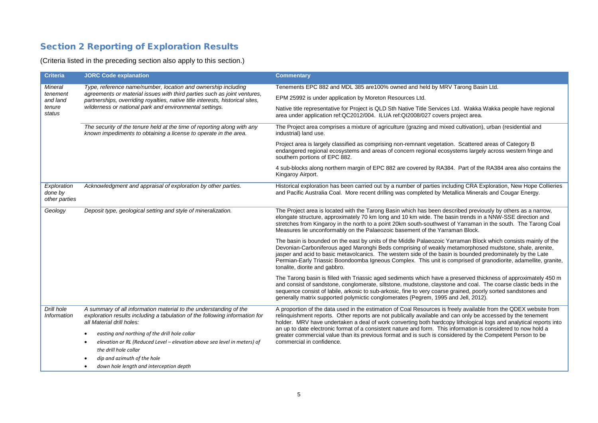## Section 2 Reporting of Exploration Results

(Criteria listed in the preceding section also apply to this section.)

| <b>Criteria</b>                         | <b>JORC Code explanation</b>                                                                                                                                                  | <b>Commentary</b>                                                                                                                                                                                                                                                                                                                                                                                                                                                                          |  |  |  |  |
|-----------------------------------------|-------------------------------------------------------------------------------------------------------------------------------------------------------------------------------|--------------------------------------------------------------------------------------------------------------------------------------------------------------------------------------------------------------------------------------------------------------------------------------------------------------------------------------------------------------------------------------------------------------------------------------------------------------------------------------------|--|--|--|--|
| Mineral                                 | Type, reference name/number, location and ownership including                                                                                                                 | Tenements EPC 882 and MDL 385 are100% owned and held by MRV Tarong Basin Ltd.                                                                                                                                                                                                                                                                                                                                                                                                              |  |  |  |  |
| tenement<br>and land                    | agreements or material issues with third parties such as joint ventures,<br>partnerships, overriding royalties, native title interests, historical sites,                     | EPM 25992 is under application by Moreton Resources Ltd.                                                                                                                                                                                                                                                                                                                                                                                                                                   |  |  |  |  |
| tenure<br>status                        | wilderness or national park and environmental settings.                                                                                                                       | Native title representative for Project is QLD Sth Native Title Services Ltd. Wakka Wakka people have regional<br>area under application ref: QC2012/004. ILUA ref: QI2008/027 covers project area.                                                                                                                                                                                                                                                                                        |  |  |  |  |
|                                         | The security of the tenure held at the time of reporting along with any<br>known impediments to obtaining a license to operate in the area.                                   | The Project area comprises a mixture of agriculture (grazing and mixed cultivation), urban (residential and<br>industrial) land use.                                                                                                                                                                                                                                                                                                                                                       |  |  |  |  |
|                                         |                                                                                                                                                                               | Project area is largely classified as comprising non-remnant vegetation. Scattered areas of Category B<br>endangered regional ecosystems and areas of concern regional ecosystems largely across western fringe and<br>southern portions of EPC 882.                                                                                                                                                                                                                                       |  |  |  |  |
|                                         |                                                                                                                                                                               | 4 sub-blocks along northern margin of EPC 882 are covered by RA384. Part of the RA384 area also contains the<br>Kingaroy Airport.                                                                                                                                                                                                                                                                                                                                                          |  |  |  |  |
| Exploration<br>done by<br>other parties | Acknowledgment and appraisal of exploration by other parties.                                                                                                                 | Historical exploration has been carried out by a number of parties including CRA Exploration, New Hope Collieries<br>and Pacific Australia Coal. More recent drilling was completed by Metallica Minerals and Cougar Energy.                                                                                                                                                                                                                                                               |  |  |  |  |
| Geology                                 | Deposit type, geological setting and style of mineralization.                                                                                                                 | The Project area is located with the Tarong Basin which has been described previously by others as a narrow,<br>elongate structure, approximately 70 km long and 10 km wide. The basin trends in a NNW-SSE direction and<br>stretches from Kingaroy in the north to a point 20km south-southwest of Yarraman in the south. The Tarong Coal<br>Measures lie unconformably on the Palaeozoic basement of the Yarraman Block.                                                                 |  |  |  |  |
|                                         |                                                                                                                                                                               | The basin is bounded on the east by units of the Middle Palaeozoic Yarraman Block which consists mainly of the<br>Devonian-Carboniferous aged Maronghi Beds comprising of weakly metamorphosed mudstone, shale, arenite,<br>jasper and acid to basic metavolcanics. The western side of the basin is bounded predominately by the Late<br>Permian-Early Triassic Boondoomba Igneous Complex. This unit is comprised of granodiorite, adamellite, granite,<br>tonalite, diorite and gabbro. |  |  |  |  |
|                                         |                                                                                                                                                                               | The Tarong basin is filled with Triassic aged sediments which have a preserved thickness of approximately 450 m<br>and consist of sandstone, conglomerate, siltstone, mudstone, claystone and coal. The coarse clastic beds in the<br>sequence consist of labile, arkosic to sub-arkosic, fine to very coarse grained, poorly sorted sandstones and<br>generally matrix supported polymictic conglomerates (Pegrem, 1995 and Jell, 2012).                                                  |  |  |  |  |
| Drill hole<br>Information               | A summary of all information material to the understanding of the<br>exploration results including a tabulation of the following information for<br>all Material drill holes: | A proportion of the data used in the estimation of Coal Resources is freely available from the QDEX website from<br>relinquishment reports. Other reports are not publically available and can only be accessed by the tenement<br>holder. MRV have undertaken a deal of work converting both hardcopy lithological logs and analytical reports into<br>an up to date electronic format of a consistent nature and form. This information is considered to now hold a                      |  |  |  |  |
|                                         | easting and northing of the drill hole collar<br>$\bullet$                                                                                                                    | greater commercial value than its previous format and is such is considered by the Competent Person to be                                                                                                                                                                                                                                                                                                                                                                                  |  |  |  |  |
|                                         | elevation or RL (Reduced Level - elevation above sea level in meters) of<br>$\bullet$<br>the drill hole collar                                                                | commercial in confidence.                                                                                                                                                                                                                                                                                                                                                                                                                                                                  |  |  |  |  |
|                                         | dip and azimuth of the hole<br>$\bullet$                                                                                                                                      |                                                                                                                                                                                                                                                                                                                                                                                                                                                                                            |  |  |  |  |
|                                         | down hole length and interception depth<br>$\bullet$                                                                                                                          |                                                                                                                                                                                                                                                                                                                                                                                                                                                                                            |  |  |  |  |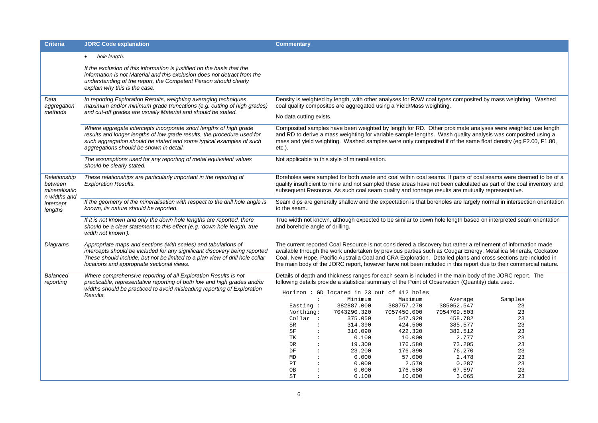| <b>Criteria</b>                                                                                                                                                                                                                                                              | <b>JORC Code explanation</b>                                                                                                                                                                                                                                               | <b>Commentary</b>                                                                                                                                                                                                                                                                                                                         |                                                                                                            |                  |                                                                                                   |                                                                                                                                                                                                                                                                                                                                          |                                                                                                                                                                                                                                                                                                                                                                                                                                                                   |  |  |
|------------------------------------------------------------------------------------------------------------------------------------------------------------------------------------------------------------------------------------------------------------------------------|----------------------------------------------------------------------------------------------------------------------------------------------------------------------------------------------------------------------------------------------------------------------------|-------------------------------------------------------------------------------------------------------------------------------------------------------------------------------------------------------------------------------------------------------------------------------------------------------------------------------------------|------------------------------------------------------------------------------------------------------------|------------------|---------------------------------------------------------------------------------------------------|------------------------------------------------------------------------------------------------------------------------------------------------------------------------------------------------------------------------------------------------------------------------------------------------------------------------------------------|-------------------------------------------------------------------------------------------------------------------------------------------------------------------------------------------------------------------------------------------------------------------------------------------------------------------------------------------------------------------------------------------------------------------------------------------------------------------|--|--|
|                                                                                                                                                                                                                                                                              | hole length.<br>$\bullet$                                                                                                                                                                                                                                                  |                                                                                                                                                                                                                                                                                                                                           |                                                                                                            |                  |                                                                                                   |                                                                                                                                                                                                                                                                                                                                          |                                                                                                                                                                                                                                                                                                                                                                                                                                                                   |  |  |
|                                                                                                                                                                                                                                                                              | If the exclusion of this information is justified on the basis that the<br>information is not Material and this exclusion does not detract from the<br>understanding of the report, the Competent Person should clearly<br>explain why this is the case.                   |                                                                                                                                                                                                                                                                                                                                           |                                                                                                            |                  |                                                                                                   |                                                                                                                                                                                                                                                                                                                                          |                                                                                                                                                                                                                                                                                                                                                                                                                                                                   |  |  |
| Data<br>aggregation                                                                                                                                                                                                                                                          | In reporting Exploration Results, weighting averaging techniques,<br>maximum and/or minimum grade truncations (e.g. cutting of high grades)                                                                                                                                | coal quality composites are aggregated using a Yield/Mass weighting.                                                                                                                                                                                                                                                                      | Density is weighted by length, with other analyses for RAW coal types composited by mass weighting. Washed |                  |                                                                                                   |                                                                                                                                                                                                                                                                                                                                          |                                                                                                                                                                                                                                                                                                                                                                                                                                                                   |  |  |
| methods                                                                                                                                                                                                                                                                      | and cut-off grades are usually Material and should be stated.                                                                                                                                                                                                              | No data cutting exists.                                                                                                                                                                                                                                                                                                                   |                                                                                                            |                  |                                                                                                   |                                                                                                                                                                                                                                                                                                                                          |                                                                                                                                                                                                                                                                                                                                                                                                                                                                   |  |  |
| Where aggregate intercepts incorporate short lengths of high grade<br>results and longer lengths of low grade results, the procedure used for<br>such aggregation should be stated and some typical examples of such<br>aggregations should be shown in detail.<br>$etc.$ ). |                                                                                                                                                                                                                                                                            |                                                                                                                                                                                                                                                                                                                                           |                                                                                                            |                  |                                                                                                   | Composited samples have been weighted by length for RD. Other proximate analyses were weighted use length<br>and RD to derive a mass weighting for variable sample lengths. Wash quality analysis was composited using a<br>mass and yield weighting. Washed samples were only composited if of the same float density (eg F2.00, F1.80, |                                                                                                                                                                                                                                                                                                                                                                                                                                                                   |  |  |
|                                                                                                                                                                                                                                                                              | The assumptions used for any reporting of metal equivalent values<br>should be clearly stated.                                                                                                                                                                             | Not applicable to this style of mineralisation.                                                                                                                                                                                                                                                                                           |                                                                                                            |                  |                                                                                                   |                                                                                                                                                                                                                                                                                                                                          |                                                                                                                                                                                                                                                                                                                                                                                                                                                                   |  |  |
| Relationship<br>between<br>mineralisatio<br>n widths and                                                                                                                                                                                                                     | These relationships are particularly important in the reporting of<br><b>Exploration Results.</b>                                                                                                                                                                          | Boreholes were sampled for both waste and coal within coal seams. If parts of coal seams were deemed to be of a<br>quality insufficient to mine and not sampled these areas have not been calculated as part of the coal inventory and<br>subsequent Resource. As such coal seam quality and tonnage results are mutually representative. |                                                                                                            |                  |                                                                                                   |                                                                                                                                                                                                                                                                                                                                          |                                                                                                                                                                                                                                                                                                                                                                                                                                                                   |  |  |
| intercept<br>lengths                                                                                                                                                                                                                                                         | If the geometry of the mineralisation with respect to the drill hole angle is<br>known, its nature should be reported.                                                                                                                                                     | Seam dips are generally shallow and the expectation is that boreholes are largely normal in intersection orientation<br>to the seam.                                                                                                                                                                                                      |                                                                                                            |                  |                                                                                                   |                                                                                                                                                                                                                                                                                                                                          |                                                                                                                                                                                                                                                                                                                                                                                                                                                                   |  |  |
|                                                                                                                                                                                                                                                                              | If it is not known and only the down hole lengths are reported, there<br>should be a clear statement to this effect (e.g. 'down hole length, true<br>width not known').                                                                                                    | True width not known, although expected to be similar to down hole length based on interpreted seam orientation<br>and borehole angle of drilling.                                                                                                                                                                                        |                                                                                                            |                  |                                                                                                   |                                                                                                                                                                                                                                                                                                                                          |                                                                                                                                                                                                                                                                                                                                                                                                                                                                   |  |  |
| Diagrams                                                                                                                                                                                                                                                                     | Appropriate maps and sections (with scales) and tabulations of<br>intercepts should be included for any significant discovery being reported<br>These should include, but not be limited to a plan view of drill hole collar<br>locations and appropriate sectional views. |                                                                                                                                                                                                                                                                                                                                           |                                                                                                            |                  |                                                                                                   |                                                                                                                                                                                                                                                                                                                                          | The current reported Coal Resource is not considered a discovery but rather a refinement of information made<br>available through the work undertaken by previous parties such as Cougar Energy, Metallica Minerals, Cockatoo<br>Coal, New Hope, Pacific Australia Coal and CRA Exploration. Detailed plans and cross sections are included in<br>the main body of the JORC report, however have not been included in this report due to their commercial nature. |  |  |
| Balanced<br>reporting                                                                                                                                                                                                                                                        | Where comprehensive reporting of all Exploration Results is not<br>practicable, representative reporting of both low and high grades and/or                                                                                                                                |                                                                                                                                                                                                                                                                                                                                           |                                                                                                            |                  | following details provide a statistical summary of the Point of Observation (Quantity) data used. |                                                                                                                                                                                                                                                                                                                                          | Details of depth and thickness ranges for each seam is included in the main body of the JORC report. The                                                                                                                                                                                                                                                                                                                                                          |  |  |
|                                                                                                                                                                                                                                                                              | widths should be practiced to avoid misleading reporting of Exploration                                                                                                                                                                                                    |                                                                                                                                                                                                                                                                                                                                           |                                                                                                            |                  | Horizon: GD located in 23 out of 412 holes                                                        |                                                                                                                                                                                                                                                                                                                                          |                                                                                                                                                                                                                                                                                                                                                                                                                                                                   |  |  |
|                                                                                                                                                                                                                                                                              | Results.                                                                                                                                                                                                                                                                   |                                                                                                                                                                                                                                                                                                                                           | $\ddot{\phantom{a}}$                                                                                       | Minimum          | Maximum                                                                                           | Average                                                                                                                                                                                                                                                                                                                                  | Samples                                                                                                                                                                                                                                                                                                                                                                                                                                                           |  |  |
|                                                                                                                                                                                                                                                                              |                                                                                                                                                                                                                                                                            | Easting :                                                                                                                                                                                                                                                                                                                                 |                                                                                                            | 382887.000       | 388757.270                                                                                        | 385052.547                                                                                                                                                                                                                                                                                                                               | 23                                                                                                                                                                                                                                                                                                                                                                                                                                                                |  |  |
|                                                                                                                                                                                                                                                                              |                                                                                                                                                                                                                                                                            | Northing:                                                                                                                                                                                                                                                                                                                                 |                                                                                                            | 7043290.320      | 7057450.000                                                                                       | 7054709.503                                                                                                                                                                                                                                                                                                                              | 23                                                                                                                                                                                                                                                                                                                                                                                                                                                                |  |  |
|                                                                                                                                                                                                                                                                              |                                                                                                                                                                                                                                                                            | Collar :                                                                                                                                                                                                                                                                                                                                  |                                                                                                            | 375.050          | 547.920                                                                                           | 458.782                                                                                                                                                                                                                                                                                                                                  | 23                                                                                                                                                                                                                                                                                                                                                                                                                                                                |  |  |
|                                                                                                                                                                                                                                                                              |                                                                                                                                                                                                                                                                            | SR                                                                                                                                                                                                                                                                                                                                        | $\ddot{\phantom{a}}$                                                                                       | 314.390          | 424.500                                                                                           | 385.577                                                                                                                                                                                                                                                                                                                                  | 23                                                                                                                                                                                                                                                                                                                                                                                                                                                                |  |  |
|                                                                                                                                                                                                                                                                              |                                                                                                                                                                                                                                                                            | SF                                                                                                                                                                                                                                                                                                                                        | $\ddot{\phantom{a}}$                                                                                       | 310.090          | 422.320                                                                                           | 382.512                                                                                                                                                                                                                                                                                                                                  | 23                                                                                                                                                                                                                                                                                                                                                                                                                                                                |  |  |
|                                                                                                                                                                                                                                                                              |                                                                                                                                                                                                                                                                            | TK                                                                                                                                                                                                                                                                                                                                        | $\ddot{\phantom{a}}$                                                                                       | 0.100            | 10.000                                                                                            | 2.777                                                                                                                                                                                                                                                                                                                                    | 23                                                                                                                                                                                                                                                                                                                                                                                                                                                                |  |  |
|                                                                                                                                                                                                                                                                              |                                                                                                                                                                                                                                                                            | DR<br>DF                                                                                                                                                                                                                                                                                                                                  | $\ddot{\phantom{a}}$<br>$\ddot{\phantom{a}}$ :                                                             | 19.300<br>23.200 | 176.580<br>176.890                                                                                | 73.205<br>76.270                                                                                                                                                                                                                                                                                                                         | 23<br>23                                                                                                                                                                                                                                                                                                                                                                                                                                                          |  |  |
|                                                                                                                                                                                                                                                                              |                                                                                                                                                                                                                                                                            | MD                                                                                                                                                                                                                                                                                                                                        | $\ddot{\phantom{a}}$                                                                                       | 0.000            | 57.000                                                                                            | 2.478                                                                                                                                                                                                                                                                                                                                    | 23                                                                                                                                                                                                                                                                                                                                                                                                                                                                |  |  |
|                                                                                                                                                                                                                                                                              |                                                                                                                                                                                                                                                                            | РT                                                                                                                                                                                                                                                                                                                                        | $\ddot{\phantom{a}}$                                                                                       | 0.000            | 2.570                                                                                             | 0.287                                                                                                                                                                                                                                                                                                                                    | 23                                                                                                                                                                                                                                                                                                                                                                                                                                                                |  |  |
|                                                                                                                                                                                                                                                                              |                                                                                                                                                                                                                                                                            | <b>OB</b>                                                                                                                                                                                                                                                                                                                                 | $\ddot{\phantom{a}}$                                                                                       | 0.000            | 176.580                                                                                           | 67.597                                                                                                                                                                                                                                                                                                                                   | 23                                                                                                                                                                                                                                                                                                                                                                                                                                                                |  |  |
|                                                                                                                                                                                                                                                                              |                                                                                                                                                                                                                                                                            | ST                                                                                                                                                                                                                                                                                                                                        | $\ddot{\phantom{a}}$                                                                                       | 0.100            | 10.000                                                                                            | 3.065                                                                                                                                                                                                                                                                                                                                    | 23                                                                                                                                                                                                                                                                                                                                                                                                                                                                |  |  |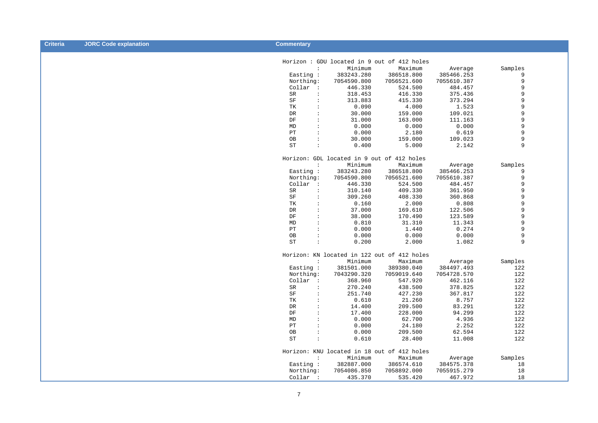| <b>Criteria</b> | <b>JORC Code explanation</b> | <b>Commentary</b>                                  |             |                                             |             |         |
|-----------------|------------------------------|----------------------------------------------------|-------------|---------------------------------------------|-------------|---------|
|                 |                              |                                                    |             | Horizon: GDU located in 9 out of 412 holes  |             |         |
|                 |                              | $\ddot{\phantom{a}}$                               | Minimum     | Maximum                                     | Average     | Samples |
|                 |                              | Easting :                                          | 383243.280  | 386518.800                                  | 385466.253  | 9       |
|                 |                              | Northing:                                          | 7054590.800 | 7056521.600                                 | 7055610.387 | 9       |
|                 |                              | Collar :                                           | 446.330     | 524.500                                     | 484.457     | 9       |
|                 |                              | SR<br>$\ddot{\phantom{a}}$ :                       | 318.453     | 416.330                                     | 375.436     | 9       |
|                 |                              | $\rm SF$<br>$\ddot{\cdot}$                         | 313.883     | 415.330                                     | 373.294     | 9       |
|                 |                              | TK<br>$\ddot{\cdot}$                               | 0.090       | 4.000                                       | 1.523       | 9       |
|                 |                              | ${\rm DR}$<br>$\ddot{\cdot}$                       | 30.000      | 159.000                                     | 109.021     | 9       |
|                 |                              | DF<br>$\ddot{\phantom{a}}$                         | 31.000      | 163.000                                     | 111.163     | 9       |
|                 |                              | <b>MD</b><br>$\ddot{\phantom{a}}$ :                | 0.000       | 0.000                                       | 0.000       | 9       |
|                 |                              | $\rm PT$<br>$\ddot{\phantom{a}}$ :                 |             |                                             |             | 9       |
|                 |                              |                                                    | 0.000       | 2.180                                       | 0.619       |         |
|                 |                              | OB<br>$\div$                                       | 30.000      | 159.000                                     | 109.023     | 9       |
|                 |                              | ${\rm ST}$<br>$\div$                               | 0.400       | 5.000                                       | 2.142       | 9       |
|                 |                              |                                                    |             | Horizon: GDL located in 9 out of 412 holes  |             |         |
|                 |                              | $\ddot{\cdot}$                                     | Minimum     | Maximum                                     | Average     | Samples |
|                 |                              | Easting :                                          | 383243.280  | 386518.800                                  | 385466.253  | 9       |
|                 |                              | Northing:                                          | 7054590.800 | 7056521.600                                 | 7055610.387 | 9       |
|                 |                              | Collar :                                           | 446.330     | 524.500                                     | 484.457     | 9       |
|                 |                              | <b>SR</b><br>$\cdot$                               | 310.140     | 409.330                                     | 361.950     | 9       |
|                 |                              | $\rm SF$<br>$\ddot{\phantom{a}}$ :                 | 309.260     | 408.330                                     | 360.868     | 9       |
|                 |                              | TK<br>$\ddot{\cdot}$                               | 0.160       | 2.000                                       | 0.808       | 9       |
|                 |                              | ${\rm DR}$<br>$\div$                               | 37.000      | 169.610                                     | 122.506     | 9       |
|                 |                              | DF<br>$\ddot{\phantom{a}}$ :                       | 38.000      | 170.490                                     | 123.589     | 9       |
|                 |                              | $\ensuremath{\mathsf{MD}}$<br>$\ddot{\phantom{a}}$ | 0.810       | 31.310                                      | 11.343      | 9       |
|                 |                              | $\rm PT$<br>$\ddot{\phantom{a}}$                   | 0.000       | 1.440                                       | 0.274       | 9       |
|                 |                              | OB<br>$\div$                                       | 0.000       | 0.000                                       | 0.000       | 9       |
|                 |                              | ${\rm ST}$<br>$\ddot{\cdot}$                       | 0.200       | 2.000                                       | 1.082       | 9       |
|                 |                              |                                                    |             | Horizon: KN located in 122 out of 412 holes |             |         |
|                 |                              | $\ddot{\phantom{a}}$                               | Minimum     | Maximum                                     | Average     | Samples |
|                 |                              | Easting :                                          | 381501.000  | 389380.040                                  | 384497.493  | 122     |
|                 |                              | Northing:                                          | 7043290.320 | 7059019.640                                 | 7054728.570 | 122     |
|                 |                              | Collar :                                           | 368.960     | 547.920                                     | 462.116     | 122     |
|                 |                              | ${\rm SR}$<br>$\ddot{\phantom{a}}$                 | 270.240     | 438.500                                     | 378.825     | 122     |
|                 |                              | $\rm SF$<br>$\ddot{\phantom{a}}$ :                 | 251.740     | 427.230                                     | 367.817     | 122     |
|                 |                              | TK<br>$\div$                                       | 0.610       | 21.260                                      | 8.757       | 122     |
|                 |                              | DR<br>$\ddot{\cdot}$                               | 14.400      | 209.500                                     | 83.291      | 122     |
|                 |                              | DF<br>$\ddot{\phantom{a}}$ :                       | 17.400      | 228.000                                     | 94.299      | 122     |
|                 |                              | MD<br>$\ddot{\phantom{a}}$ :                       | 0.000       | 62.700                                      | 4.936       | 122     |
|                 |                              | $\rm PT$<br>$\ddot{\phantom{a}}$ :                 | 0.000       | 24.180                                      | 2.252       | 122     |
|                 |                              | OB<br>$\div$                                       | 0.000       | 209.500                                     | 62.594      | 122     |
|                 |                              | ${\rm ST}$<br>$\ddot{\cdot}$                       | 0.610       | 28.400                                      | 11.008      | 122     |
|                 |                              |                                                    |             | Horizon: KNU located in 18 out of 412 holes |             |         |
|                 |                              | $\ddot{\phantom{a}}$                               | Minimum     | Maximum                                     | Average     | Samples |
|                 |                              | Easting :                                          | 382887.000  | 386574.610                                  | 384575.378  | 18      |
|                 |                              | Northing:                                          | 7054086.850 | 7058892.000                                 | 7055915.279 | 18      |
|                 |                              | Collar :                                           | 435.370     | 535.420                                     | 467.972     | 18      |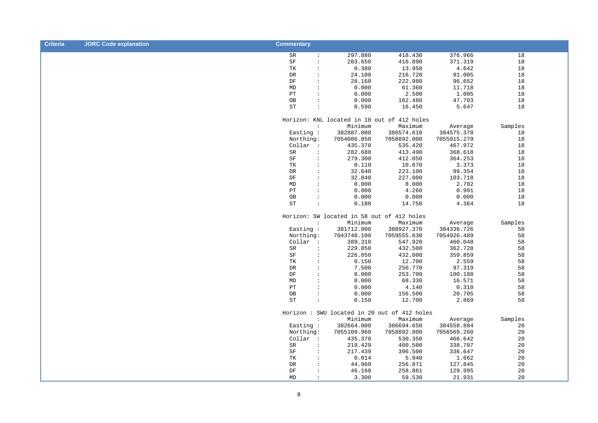| <b>Criteria</b> | <b>JORC Code explanation</b> | <b>Commentary</b>          |                                    |                                            |                                             |                  |              |
|-----------------|------------------------------|----------------------------|------------------------------------|--------------------------------------------|---------------------------------------------|------------------|--------------|
|                 |                              |                            |                                    |                                            |                                             |                  |              |
|                 |                              | ${\rm SR}$                 | $\mathcal{Z}_{\mathcal{A}}$        | 297.880                                    | 418.430                                     | 376.966          | 18           |
|                 |                              | $\rm SF$                   | $\div$                             | 283.650                                    | 416.890                                     | 371.319          | $18\,$       |
|                 |                              | TK                         | $\ddot{\phantom{a}}$ :<br>$\colon$ | 0.380<br>24.100                            | 13.950                                      | 4.642            | 18<br>$18\,$ |
|                 |                              | DR<br>$\rm DF$             | $\ddot{\cdot}$                     |                                            | 216.720                                     | 91.005           | 18           |
|                 |                              | ${\tt MD}$                 | $\ddot{\phantom{a}}$               | 28.160<br>0.000                            | 222.980                                     | 96.652<br>11.718 | 18           |
|                 |                              | PT                         | $\ddot{\cdot}$                     | 0.000                                      | 61.360<br>2.500                             | 1.005            | 18           |
|                 |                              | OB                         | $\ddot{\phantom{a}}$               | 0.000                                      | 162.480                                     | 47.703           | 18           |
|                 |                              | ST                         | $\ddot{\phantom{a}}$               | 0.590                                      | 16.450                                      | 5.647            | 18           |
|                 |                              |                            |                                    |                                            |                                             |                  |              |
|                 |                              |                            |                                    |                                            | Horizon: KNL located in 18 out of 412 holes |                  |              |
|                 |                              |                            | $\ddot{\cdot}$                     | Minimum                                    | Maximum                                     | Average          | Samples      |
|                 |                              | Easting :                  |                                    | 382887.000                                 | 386574.610                                  | 384575.378       | 18           |
|                 |                              | Northing:                  |                                    | 7054086.850                                | 7058892.000                                 | 7055915.279      | $18\,$       |
|                 |                              | Collar :                   |                                    | 435.370                                    | 535.420                                     | 467.972          | 18           |
|                 |                              | SR                         | $\ddot{\phantom{a}}$               | 282.680                                    | 413.490                                     | 368.618          | 18           |
|                 |                              | $\rm{SF}$                  | $\colon$                           | 279.300                                    | 412.050                                     | 364.253          | $18\,$       |
|                 |                              | TK                         | $\colon$                           | 0.110                                      | 10.670                                      | 3.373            | 18           |
|                 |                              | DR                         | $\ddot{\phantom{a}}$               | 32.640                                     | 223.100                                     | 99.354           | 18           |
|                 |                              | DF                         | $\ddot{\phantom{a}}$               | 32.840                                     | 227.000                                     | 103.718          | 18           |
|                 |                              | $\ensuremath{\mathsf{MD}}$ | $\ddot{\cdot}$                     | 0.000                                      | 8.000                                       | 2.702            | $18\,$       |
|                 |                              | PT                         | $\ddot{\cdot}$                     | 0.000                                      | 4.260                                       | 0.991            | 18           |
|                 |                              | OB                         | $\ddot{\phantom{a}}$               | 0.000                                      | 0.000                                       | 0.000            | $18\,$       |
|                 |                              | ${\rm ST}$                 | $\ddot{\phantom{a}}$               | 0.180                                      | 14.750                                      | 4.364            | 18           |
|                 |                              |                            |                                    | Horizon: SW located in 58 out of 412 holes |                                             |                  |              |
|                 |                              |                            | $\ddot{\phantom{a}}$ :             | Minimum                                    | Maximum                                     | Average          | Samples      |
|                 |                              | Easting :                  |                                    | 381712.000                                 | 388927.370                                  | 384336.726       | 58           |
|                 |                              | Northing:                  |                                    | 7043748.100                                | 7059555.630                                 | 7054926.489      | 58           |
|                 |                              | Collar :                   |                                    | 389.310                                    | 547.920                                     | 460.048          | 58           |
|                 |                              | SR                         | $\ddot{\cdot}$                     | 229.050                                    | 432.500                                     | 362.728          | 58           |
|                 |                              | $\rm SF$                   | $\colon$                           | 226.050                                    | 432.000                                     | 359.859          | 58           |
|                 |                              | TК                         | $\colon$                           | 0.150                                      | 12.700                                      | 2.559            | 58           |
|                 |                              | DR                         | $\colon$                           | 7.500                                      | 250.770                                     | 97.319           | 58           |
|                 |                              | DF                         | $\colon$                           | 8.000                                      | 253.700                                     | 100.188          | 58           |
|                 |                              | ${\tt MD}$                 | $\colon$                           | 0.000                                      | 68.330                                      | 16.571           | 58           |
|                 |                              | $\rm PT$                   | $\ddot{\cdot}$                     | 0.000                                      | 4.140                                       | 0.310            | 58           |
|                 |                              | OB                         | $\ddot{\phantom{a}}$               | 0.000                                      | 156.500                                     | 20.705           | 58           |
|                 |                              | ${\rm ST}$                 | $\ddot{\phantom{a}}$               | 0.150                                      | 12.700                                      | 2.869            | 58           |
|                 |                              |                            |                                    |                                            | Horizon: SWU located in 20 out of 412 holes |                  |              |
|                 |                              |                            | $\ddot{\phantom{a}}$               | Minimum                                    | Maximum                                     | Average          | Samples      |
|                 |                              | Easting :                  |                                    | 382664.000                                 | 386694.650                                  | 384558.884       | 20           |
|                 |                              | Northing:                  |                                    | 7055109.960                                | 7058892.000                                 | 7056569.260      | 20           |
|                 |                              | Collar :                   |                                    | 435.370                                    | 530.350                                     | 466.642          | 20           |
|                 |                              | SR                         | $\cdot$                            | 219.429                                    | 400.500                                     | 338.797          | $20\,$       |
|                 |                              | $\rm SF$                   | $\ddot{\phantom{a}}$               | 217.439                                    | 396.500                                     | 336.647          | 20           |
|                 |                              | TК                         | $\colon$                           | 0.014                                      | 5.940                                       | 1.662            | 20           |
|                 |                              | DR                         | $\colon$                           | 44.960                                     | 256.871                                     | 127.845          | $20\,$       |
|                 |                              | DF                         | $\ddot{\phantom{a}}$               | 46.160                                     | 258.861                                     | 129.995          | 20           |
|                 |                              | MD                         | $\ddot{\phantom{a}}$               | 3.300                                      | 59.530                                      | 21.931           | 20           |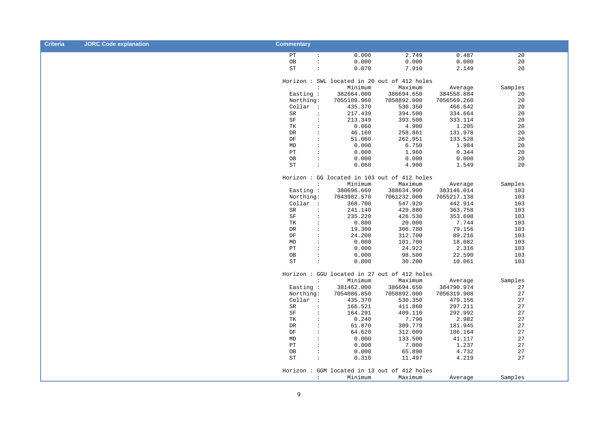| <b>Criteria</b> | <b>JORC Code explanation</b> | <b>Commentary</b> |                        |             |                                              |             |         |  |
|-----------------|------------------------------|-------------------|------------------------|-------------|----------------------------------------------|-------------|---------|--|
|                 |                              | PT                | $\ddot{\phantom{a}}$   | 0.000       | 2.749                                        | 0.487       | 20      |  |
|                 |                              | OB                | $\ddot{\phantom{a}}$   | 0.000       | 0.000                                        | 0.000       | 20      |  |
|                 |                              | ${\rm ST}$        | $\ddot{\phantom{a}}$ : | 0.070       | 7.910                                        | 2.149       | 20      |  |
|                 |                              |                   |                        |             |                                              |             |         |  |
|                 |                              |                   |                        |             | Horizon: SWL located in 20 out of 412 holes  |             |         |  |
|                 |                              |                   | $\cdot$                | Minimum     | Maximum                                      | Average     | Samples |  |
|                 |                              | Easting :         |                        | 382664.000  | 386694.650                                   | 384558.884  | $20\,$  |  |
|                 |                              | Northing:         |                        | 7055109.960 | 7058892.000                                  | 7056569.260 | $20\,$  |  |
|                 |                              | Collar :          |                        | 435.370     | 530.350                                      | 466.642     | $20\,$  |  |
|                 |                              | SR                | $\cdot$                | 217.439     | 394.500                                      | 334.664     | $20\,$  |  |
|                 |                              | $\rm SF$          | $\cdot$                | 213.349     | 393.500                                      | 333.114     | $20\,$  |  |
|                 |                              | TK                | $\cdot$                | 0.060       | 4.900                                        | 1.205       | $20\,$  |  |
|                 |                              | DR                | $\cdot$                | 46.160      | 258.861                                      | 131.978     | $20\,$  |  |
|                 |                              | $\rm DF$          | $\cdot$                | 51.060      | 262.951                                      | 133.528     | $20\,$  |  |
|                 |                              | MD                | $\ddot{\phantom{a}}$   | 0.000       | 6.750                                        | 1.984       | $20\,$  |  |
|                 |                              | $\rm PT$          | $\cdot$                | 0.000       | 1.960                                        | 0.344       | $20\,$  |  |
|                 |                              | OB                | $\colon$               | 0.000       | 0.000                                        | 0.000       | $20\,$  |  |
|                 |                              | ST                | $\ddot{\phantom{a}}$   | 0.060       | 4.900                                        | 1.549       | 20      |  |
|                 |                              |                   |                        |             | Horizon: GG located in 103 out of 412 holes  |             |         |  |
|                 |                              |                   | $\cdot$                | Minimum     | Maximum                                      | Average     | Samples |  |
|                 |                              | Easting :         |                        | 380696.660  | 388634.900                                   | 383146.014  | 103     |  |
|                 |                              | Northing:         |                        | 7043982.570 | 7061232.000                                  | 7055217.138 | 103     |  |
|                 |                              | Collar :          |                        | 368.700     | 547.920                                      | 442.914     | 103     |  |
|                 |                              | SR                | $\cdot$                | 241.140     | 429.880                                      | 363.758     | 103     |  |
|                 |                              | $\rm SF$          | $\ddot{\cdot}$         | 235.220     | 426.530                                      | 353.698     | 103     |  |
|                 |                              | TK                | $\cdot$                | 0.800       | 20.000                                       | 7.744       | 103     |  |
|                 |                              | DR                | $\ddot{\phantom{a}}$   | 19.300      | 306.780                                      | 79.156      | 103     |  |
|                 |                              | DF                | $\cdot$                | 24.200      | 312.700                                      | 89.216      | 103     |  |
|                 |                              | MD                | $\colon$               | 0.000       | 101.700                                      | 18.082      | 103     |  |
|                 |                              | $\rm PT$          | $\cdot$                | 0.000       | 24.922                                       | 2.316       | 103     |  |
|                 |                              | OB                | $\cdot$                | 0.000       | 98.500                                       | 22.590      | 103     |  |
|                 |                              | ST                | $\ddot{\phantom{a}}$   | 0.800       | 30.200                                       | 10.061      | 103     |  |
|                 |                              |                   |                        |             | Horizon : GGU located in 27 out of 412 holes |             |         |  |
|                 |                              |                   | $\cdot$                | Minimum     | Maximum                                      | Average     | Samples |  |
|                 |                              | Easting :         |                        | 381462.000  | 386694.650                                   | 384790.974  | $2\,7$  |  |
|                 |                              | Northing:         |                        | 7054086.850 | 7058892.000                                  | 7056319.908 | $2\,7$  |  |
|                 |                              | Collar :          |                        | 435.370     | 530.350                                      | 479.156     | $2\,7$  |  |
|                 |                              | SR                | $\cdot$                | 166.521     | 411.860                                      | 297.211     | $2\,7$  |  |
|                 |                              | SF                | $\cdot$                | 164.291     | 409.110                                      | 292.992     | $27\,$  |  |
|                 |                              | TK                | $\ddot{\phantom{a}}$   | 0.240       | 7.790                                        | 2.982       | $2\,7$  |  |
|                 |                              | DR                | $\colon$               | 61.870      | 309.779                                      | 181.945     | 27      |  |
|                 |                              | DF                | $\ddot{\phantom{a}}$   | 64.620      | 312.009                                      | 186.164     | 27      |  |
|                 |                              | MD                | $\cdot$                | 0.000       | 133.500                                      | 41.117      | $2\,7$  |  |
|                 |                              | $\rm PT$          | $\cdot$                | 0.000       | 7.000                                        | 1.237       | $2\,7$  |  |
|                 |                              | OB                | $\ddot{\phantom{a}}$   | 0.000       | 65.890                                       | 4.732       | $27\,$  |  |
|                 |                              | $\mbox{ST}$       | $\ddot{\phantom{a}}$   | 0.310       | 11.497                                       | 4.219       | 27      |  |
|                 |                              |                   |                        |             | Horizon: GGM located in 13 out of 412 holes  |             |         |  |
|                 |                              |                   | $\ddot{\phantom{a}}$   | Minimum     | Maximum                                      | Average     | Samples |  |
|                 |                              |                   |                        |             |                                              |             |         |  |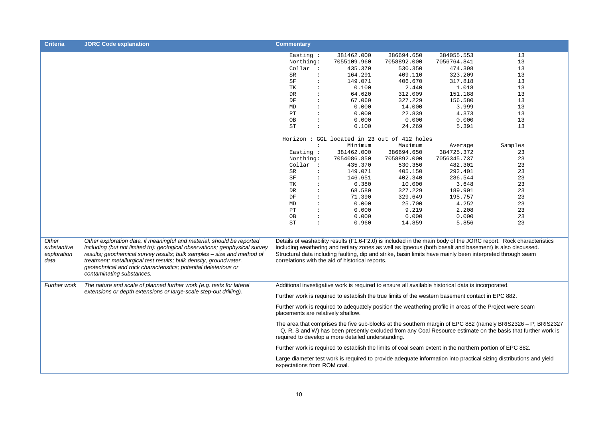| <b>Criteria</b>                             | <b>JORC Code explanation</b>                                                                                                                                                                                                                                                                                                                                                                         | <b>Commentary</b>                                                                                                                                                                                                                                                                      |                                        |                                                  |                                             |                                                                                                            |                                                                                                                                                                                                                              |  |
|---------------------------------------------|------------------------------------------------------------------------------------------------------------------------------------------------------------------------------------------------------------------------------------------------------------------------------------------------------------------------------------------------------------------------------------------------------|----------------------------------------------------------------------------------------------------------------------------------------------------------------------------------------------------------------------------------------------------------------------------------------|----------------------------------------|--------------------------------------------------|---------------------------------------------|------------------------------------------------------------------------------------------------------------|------------------------------------------------------------------------------------------------------------------------------------------------------------------------------------------------------------------------------|--|
|                                             |                                                                                                                                                                                                                                                                                                                                                                                                      | Easting :                                                                                                                                                                                                                                                                              |                                        | 381462.000                                       | 386694.650                                  | 384055.553                                                                                                 | 13                                                                                                                                                                                                                           |  |
|                                             |                                                                                                                                                                                                                                                                                                                                                                                                      | Northing:                                                                                                                                                                                                                                                                              |                                        | 7055109.960                                      | 7058892.000                                 | 7056764.841                                                                                                | 13                                                                                                                                                                                                                           |  |
|                                             |                                                                                                                                                                                                                                                                                                                                                                                                      | Collar :                                                                                                                                                                                                                                                                               |                                        | 435.370                                          | 530.350                                     | 474.398                                                                                                    | 13                                                                                                                                                                                                                           |  |
|                                             |                                                                                                                                                                                                                                                                                                                                                                                                      | SR                                                                                                                                                                                                                                                                                     | $\ddot{\phantom{a}}$                   | 164.291                                          | 409.110                                     | 323.209                                                                                                    | 13                                                                                                                                                                                                                           |  |
|                                             |                                                                                                                                                                                                                                                                                                                                                                                                      | SF                                                                                                                                                                                                                                                                                     | $\ddot{\phantom{a}}$                   | 149.071                                          | 406.670                                     | 317.818                                                                                                    | 13                                                                                                                                                                                                                           |  |
|                                             |                                                                                                                                                                                                                                                                                                                                                                                                      | TК                                                                                                                                                                                                                                                                                     | $\ddot{\phantom{a}}$                   | 0.100                                            | 2.440                                       | 1.018                                                                                                      | 13                                                                                                                                                                                                                           |  |
|                                             |                                                                                                                                                                                                                                                                                                                                                                                                      | DR                                                                                                                                                                                                                                                                                     | $\ddot{\phantom{a}}$                   | 64.620                                           | 312.009                                     | 151.188                                                                                                    | 13                                                                                                                                                                                                                           |  |
|                                             |                                                                                                                                                                                                                                                                                                                                                                                                      | DF                                                                                                                                                                                                                                                                                     | $\ddot{\phantom{a}}$                   | 67.060                                           | 327.229                                     | 156.580                                                                                                    | 13                                                                                                                                                                                                                           |  |
|                                             |                                                                                                                                                                                                                                                                                                                                                                                                      | MD                                                                                                                                                                                                                                                                                     | $\ddot{\cdot}$                         | 0.000                                            | 14.000                                      | 3.999                                                                                                      | 13                                                                                                                                                                                                                           |  |
|                                             |                                                                                                                                                                                                                                                                                                                                                                                                      | PT                                                                                                                                                                                                                                                                                     | $\ddot{\cdot}$<br>$\ddot{\cdot}$       | 0.000                                            | 22.839                                      | 4.373                                                                                                      | 13                                                                                                                                                                                                                           |  |
|                                             |                                                                                                                                                                                                                                                                                                                                                                                                      | OB                                                                                                                                                                                                                                                                                     | $\ddot{\phantom{a}}$                   | 0.000                                            | 0.000                                       | 0.000                                                                                                      | 13                                                                                                                                                                                                                           |  |
|                                             |                                                                                                                                                                                                                                                                                                                                                                                                      | ST                                                                                                                                                                                                                                                                                     |                                        | 0.100                                            | 24.269                                      | 5.391                                                                                                      | 13                                                                                                                                                                                                                           |  |
|                                             |                                                                                                                                                                                                                                                                                                                                                                                                      |                                                                                                                                                                                                                                                                                        |                                        |                                                  | Horizon: GGL located in 23 out of 412 holes |                                                                                                            |                                                                                                                                                                                                                              |  |
|                                             |                                                                                                                                                                                                                                                                                                                                                                                                      |                                                                                                                                                                                                                                                                                        | $\ddot{\phantom{a}}$                   | Minimum                                          | Maximum                                     | Average                                                                                                    | Samples                                                                                                                                                                                                                      |  |
|                                             |                                                                                                                                                                                                                                                                                                                                                                                                      | Easting :                                                                                                                                                                                                                                                                              |                                        | 381462.000                                       | 386694.650                                  | 384725.372                                                                                                 | 23                                                                                                                                                                                                                           |  |
|                                             |                                                                                                                                                                                                                                                                                                                                                                                                      | Northing:                                                                                                                                                                                                                                                                              |                                        | 7054086.850                                      | 7058892.000                                 | 7056345.737                                                                                                | 23                                                                                                                                                                                                                           |  |
|                                             |                                                                                                                                                                                                                                                                                                                                                                                                      | Collar :                                                                                                                                                                                                                                                                               |                                        | 435.370                                          | 530.350                                     | 482.301                                                                                                    | 23                                                                                                                                                                                                                           |  |
|                                             |                                                                                                                                                                                                                                                                                                                                                                                                      | SR                                                                                                                                                                                                                                                                                     | $\ddot{\phantom{a}}$                   | 149.071                                          | 405.150                                     | 292.401                                                                                                    | 23                                                                                                                                                                                                                           |  |
|                                             |                                                                                                                                                                                                                                                                                                                                                                                                      | SF                                                                                                                                                                                                                                                                                     | $\ddot{\phantom{a}}$                   | 146.651                                          | 402.340                                     | 286.544                                                                                                    | 23                                                                                                                                                                                                                           |  |
|                                             |                                                                                                                                                                                                                                                                                                                                                                                                      | ТK                                                                                                                                                                                                                                                                                     | $\ddot{\phantom{a}}$                   | 0.380                                            | 10.000                                      | 3.648                                                                                                      | 23                                                                                                                                                                                                                           |  |
|                                             |                                                                                                                                                                                                                                                                                                                                                                                                      | DR.                                                                                                                                                                                                                                                                                    | $\ddot{\phantom{a}}$                   | 68.580                                           | 327.229                                     | 189.901                                                                                                    | 23                                                                                                                                                                                                                           |  |
|                                             |                                                                                                                                                                                                                                                                                                                                                                                                      | DF                                                                                                                                                                                                                                                                                     | $\ddot{\phantom{a}}$<br>$\ddot{\cdot}$ | 71.390                                           | 329.649                                     | 195.757                                                                                                    | 23                                                                                                                                                                                                                           |  |
|                                             |                                                                                                                                                                                                                                                                                                                                                                                                      | MD                                                                                                                                                                                                                                                                                     | $\ddot{\phantom{a}}$                   | 0.000                                            | 25.700                                      | 4.252                                                                                                      | 23                                                                                                                                                                                                                           |  |
|                                             |                                                                                                                                                                                                                                                                                                                                                                                                      | РT                                                                                                                                                                                                                                                                                     | $\ddot{\phantom{a}}$                   | 0.000                                            | 9.219                                       | 2.208<br>0.000                                                                                             | 23<br>23                                                                                                                                                                                                                     |  |
|                                             |                                                                                                                                                                                                                                                                                                                                                                                                      | OB<br><b>ST</b>                                                                                                                                                                                                                                                                        | $\colon$                               | 0.000<br>0.960                                   | 0.000<br>14.859                             | 5.856                                                                                                      | 23                                                                                                                                                                                                                           |  |
|                                             |                                                                                                                                                                                                                                                                                                                                                                                                      |                                                                                                                                                                                                                                                                                        |                                        |                                                  |                                             |                                                                                                            |                                                                                                                                                                                                                              |  |
| Other<br>substantive<br>exploration<br>data | Other exploration data, if meaningful and material, should be reported<br>including (but not limited to): geological observations; geophysical survey<br>results; geochemical survey results; bulk samples - size and method of<br>treatment; metallurgical test results; bulk density, groundwater,<br>geotechnical and rock characteristics; potential deleterious or<br>contaminating substances. |                                                                                                                                                                                                                                                                                        |                                        | correlations with the aid of historical reports. |                                             | Structural data including faulting, dip and strike, basin limits have mainly been interpreted through seam | Details of washability results (F1.6-F2.0) is included in the main body of the JORC report. Rock characteristics<br>including weathering and tertiary zones as well as igneous (both basalt and basement) is also discussed. |  |
| Further work                                | The nature and scale of planned further work (e.g. tests for lateral                                                                                                                                                                                                                                                                                                                                 |                                                                                                                                                                                                                                                                                        |                                        |                                                  |                                             | Additional investigative work is required to ensure all available historical data is incorporated.         |                                                                                                                                                                                                                              |  |
|                                             | extensions or depth extensions or large-scale step-out drilling).                                                                                                                                                                                                                                                                                                                                    |                                                                                                                                                                                                                                                                                        |                                        |                                                  |                                             | Further work is required to establish the true limits of the western basement contact in EPC 882.          |                                                                                                                                                                                                                              |  |
|                                             |                                                                                                                                                                                                                                                                                                                                                                                                      | Further work is required to adequately position the weathering profile in areas of the Project were seam<br>placements are relatively shallow.                                                                                                                                         |                                        |                                                  |                                             |                                                                                                            |                                                                                                                                                                                                                              |  |
|                                             |                                                                                                                                                                                                                                                                                                                                                                                                      | The area that comprises the five sub-blocks at the southern margin of EPC 882 (namely BRIS2326 - P; BRIS2327<br>$-Q$ , R, S and W) has been presently excluded from any Coal Resource estimate on the basis that further work is<br>required to develop a more detailed understanding. |                                        |                                                  |                                             |                                                                                                            |                                                                                                                                                                                                                              |  |
|                                             |                                                                                                                                                                                                                                                                                                                                                                                                      |                                                                                                                                                                                                                                                                                        |                                        |                                                  |                                             | Further work is required to establish the limits of coal seam extent in the northern portion of EPC 882.   |                                                                                                                                                                                                                              |  |
|                                             |                                                                                                                                                                                                                                                                                                                                                                                                      | expectations from ROM coal.                                                                                                                                                                                                                                                            |                                        |                                                  |                                             |                                                                                                            | Large diameter test work is required to provide adequate information into practical sizing distributions and yield                                                                                                           |  |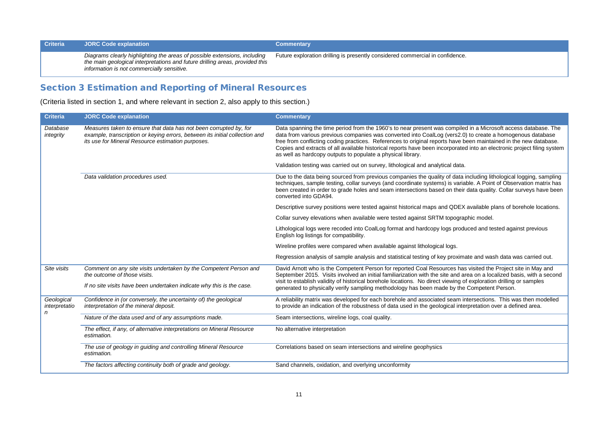| <b>Criteria</b> | <b>JORC Code explanation</b>                                                                                                                                                                            | <b>Commentary</b>                                                             |
|-----------------|---------------------------------------------------------------------------------------------------------------------------------------------------------------------------------------------------------|-------------------------------------------------------------------------------|
|                 | Diagrams clearly highlighting the areas of possible extensions, including<br>the main geological interpretations and future drilling areas, provided this<br>information is not commercially sensitive. | Future exploration drilling is presently considered commercial in confidence. |

# Section 3 Estimation and Reporting of Mineral Resources

(Criteria listed in section 1, and where relevant in section 2, also apply to this section.)

| <b>Criteria</b>                  | <b>JORC Code explanation</b>                                                                                                                                                                          | <b>Commentary</b>                                                                                                                                                                                                                                                                                                                                                                                                                                                                                                                         |
|----------------------------------|-------------------------------------------------------------------------------------------------------------------------------------------------------------------------------------------------------|-------------------------------------------------------------------------------------------------------------------------------------------------------------------------------------------------------------------------------------------------------------------------------------------------------------------------------------------------------------------------------------------------------------------------------------------------------------------------------------------------------------------------------------------|
| Database<br>integrity            | Measures taken to ensure that data has not been corrupted by, for<br>example, transcription or keying errors, between its initial collection and<br>its use for Mineral Resource estimation purposes. | Data spanning the time period from the 1960's to near present was compiled in a Microsoft access database. The<br>data from various previous companies was converted into CoalLog (vers2.0) to create a homogenous database<br>free from conflicting coding practices. References to original reports have been maintained in the new database.<br>Copies and extracts of all available historical reports have been incorporated into an electronic project filing system<br>as well as hardcopy outputs to populate a physical library. |
|                                  |                                                                                                                                                                                                       | Validation testing was carried out on survey, lithological and analytical data.                                                                                                                                                                                                                                                                                                                                                                                                                                                           |
|                                  | Data validation procedures used.                                                                                                                                                                      | Due to the data being sourced from previous companies the quality of data including lithological logging, sampling<br>techniques, sample testing, collar surveys (and coordinate systems) is variable. A Point of Observation matrix has<br>been created in order to grade holes and seam intersections based on their data quality. Collar surveys have been<br>converted into GDA94.                                                                                                                                                    |
|                                  |                                                                                                                                                                                                       | Descriptive survey positions were tested against historical maps and QDEX available plans of borehole locations.                                                                                                                                                                                                                                                                                                                                                                                                                          |
|                                  |                                                                                                                                                                                                       | Collar survey elevations when available were tested against SRTM topographic model.                                                                                                                                                                                                                                                                                                                                                                                                                                                       |
|                                  |                                                                                                                                                                                                       | Lithological logs were recoded into CoalLog format and hardcopy logs produced and tested against previous<br>English log listings for compatibility.                                                                                                                                                                                                                                                                                                                                                                                      |
|                                  |                                                                                                                                                                                                       | Wireline profiles were compared when available against lithological logs.                                                                                                                                                                                                                                                                                                                                                                                                                                                                 |
|                                  |                                                                                                                                                                                                       | Regression analysis of sample analysis and statistical testing of key proximate and wash data was carried out.                                                                                                                                                                                                                                                                                                                                                                                                                            |
| Site visits                      | Comment on any site visits undertaken by the Competent Person and<br>the outcome of those visits.                                                                                                     | David Arnott who is the Competent Person for reported Coal Resources has visited the Project site in May and<br>September 2015. Visits involved an initial familiarization with the site and area on a localized basis, with a second<br>visit to establish validity of historical borehole locations. No direct viewing of exploration drilling or samples                                                                                                                                                                               |
|                                  | If no site visits have been undertaken indicate why this is the case.                                                                                                                                 | generated to physically verify sampling methodology has been made by the Competent Person.                                                                                                                                                                                                                                                                                                                                                                                                                                                |
| Geological<br>interpretatio<br>n | Confidence in (or conversely, the uncertainty of) the geological<br>interpretation of the mineral deposit.                                                                                            | A reliability matrix was developed for each borehole and associated seam intersections. This was then modelled<br>to provide an indication of the robustness of data used in the geological interpretation over a defined area.                                                                                                                                                                                                                                                                                                           |
|                                  | Nature of the data used and of any assumptions made.                                                                                                                                                  | Seam intersections, wireline logs, coal quality.                                                                                                                                                                                                                                                                                                                                                                                                                                                                                          |
|                                  | The effect, if any, of alternative interpretations on Mineral Resource<br>estimation.                                                                                                                 | No alternative interpretation                                                                                                                                                                                                                                                                                                                                                                                                                                                                                                             |
|                                  | The use of geology in guiding and controlling Mineral Resource<br>estimation.                                                                                                                         | Correlations based on seam intersections and wireline geophysics                                                                                                                                                                                                                                                                                                                                                                                                                                                                          |
|                                  | The factors affecting continuity both of grade and geology.                                                                                                                                           | Sand channels, oxidation, and overlying unconformity                                                                                                                                                                                                                                                                                                                                                                                                                                                                                      |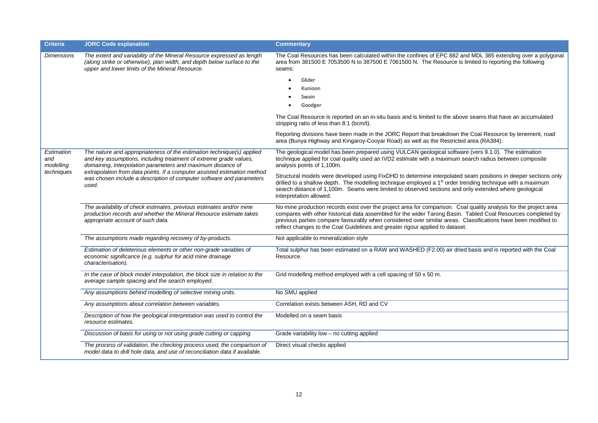| <b>Criteria</b>                              | <b>JORC Code explanation</b>                                                                                                                                                                                                                                                                                                                                           | <b>Commentary</b>                                                                                                                                                                                                                                                                                                                                                                                                                   |  |
|----------------------------------------------|------------------------------------------------------------------------------------------------------------------------------------------------------------------------------------------------------------------------------------------------------------------------------------------------------------------------------------------------------------------------|-------------------------------------------------------------------------------------------------------------------------------------------------------------------------------------------------------------------------------------------------------------------------------------------------------------------------------------------------------------------------------------------------------------------------------------|--|
| <b>Dimensions</b>                            | The extent and variability of the Mineral Resource expressed as length<br>(along strike or otherwise), plan width, and depth below surface to the<br>upper and lower limits of the Mineral Resource.                                                                                                                                                                   | The Coal Resources has been calculated within the confines of EPC 882 and MDL 385 extending over a polygonal<br>area from 381500 E 7053500 N to 387500 E 7061500 N. The Resource is limited to reporting the following<br>seams:                                                                                                                                                                                                    |  |
|                                              |                                                                                                                                                                                                                                                                                                                                                                        | Glider<br>Kunioon<br>Swain<br>Goodger                                                                                                                                                                                                                                                                                                                                                                                               |  |
|                                              |                                                                                                                                                                                                                                                                                                                                                                        | The Coal Resource is reported on an in-situ basis and is limited to the above seams that have an accumulated<br>stripping ratio of less than 8:1 (bcm/t).                                                                                                                                                                                                                                                                           |  |
|                                              |                                                                                                                                                                                                                                                                                                                                                                        | Reporting divisions have been made in the JORC Report that breakdown the Coal Resource by tenement, road<br>area (Bunya Highway and Kingaroy-Cooyar Road) as well as the Restricted area (RA384).                                                                                                                                                                                                                                   |  |
| Estimation<br>and<br>modelling<br>techniques | The nature and appropriateness of the estimation technique(s) applied<br>and key assumptions, including treatment of extreme grade values,<br>domaining, interpolation parameters and maximum distance of<br>extrapolation from data points. If a computer assisted estimation method<br>was chosen include a description of computer software and parameters<br>used. | The geological model has been prepared using VULCAN geological software (vers 9.1.0). The estimation<br>technique applied for coal quality used an IVD2 estimate with a maximum search radius between composite<br>analysis points of 1,100m.                                                                                                                                                                                       |  |
|                                              |                                                                                                                                                                                                                                                                                                                                                                        | Structural models were developed using FixDHD to determine interpolated seam positions in deeper sections only<br>drilled to a shallow depth. The modelling technique employed a 1 <sup>st</sup> order trending technique with a maximum<br>search distance of 1,100m. Seams were limited to observed sections and only extended where geological<br>interpretation allowed.                                                        |  |
|                                              | The availability of check estimates, previous estimates and/or mine<br>production records and whether the Mineral Resource estimate takes<br>appropriate account of such data.                                                                                                                                                                                         | No mine production records exist over the project area for comparison. Coal quality analysis for the project area<br>compares with other historical data assembled for the wider Tarong Basin. Tabled Coal Resources completed by<br>previous parties compare favourably when considered over similar areas. Classifications have been modified to<br>reflect changes to the Coal Guidelines and greater rigour applied to dataset. |  |
|                                              | The assumptions made regarding recovery of by-products.                                                                                                                                                                                                                                                                                                                | Not applicable to mineralization style                                                                                                                                                                                                                                                                                                                                                                                              |  |
|                                              | Estimation of deleterious elements or other non-grade variables of<br>economic significance (e.g. sulphur for acid mine drainage<br>characterisation).                                                                                                                                                                                                                 | Total sulphur has been estimated on a RAW and WASHED (F2.00) air dried basis and is reported with the Coal<br>Resource.                                                                                                                                                                                                                                                                                                             |  |
|                                              | In the case of block model interpolation, the block size in relation to the<br>average sample spacing and the search employed.                                                                                                                                                                                                                                         | Grid modelling method employed with a cell spacing of 50 x 50 m.                                                                                                                                                                                                                                                                                                                                                                    |  |
|                                              | Any assumptions behind modelling of selective mining units.                                                                                                                                                                                                                                                                                                            | No SMU applied                                                                                                                                                                                                                                                                                                                                                                                                                      |  |
|                                              | Any assumptions about correlation between variables.                                                                                                                                                                                                                                                                                                                   | Correlation exists between ASH, RD and CV                                                                                                                                                                                                                                                                                                                                                                                           |  |
|                                              | Description of how the geological interpretation was used to control the<br>resource estimates.                                                                                                                                                                                                                                                                        | Modelled on a seam basis                                                                                                                                                                                                                                                                                                                                                                                                            |  |
|                                              | Discussion of basis for using or not using grade cutting or capping.                                                                                                                                                                                                                                                                                                   | Grade variability low - no cutting applied                                                                                                                                                                                                                                                                                                                                                                                          |  |
|                                              | The process of validation, the checking process used, the comparison of<br>model data to drill hole data, and use of reconciliation data if available.                                                                                                                                                                                                                 | Direct visual checks applied                                                                                                                                                                                                                                                                                                                                                                                                        |  |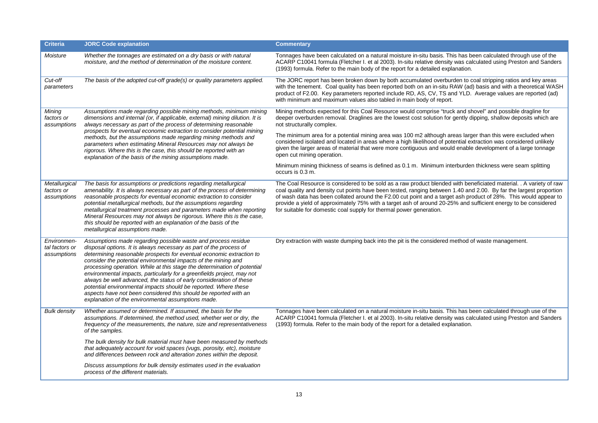| <b>Criteria</b>                              | <b>JORC Code explanation</b>                                                                                                                                                                                                                                                                                                                                                                                                                                                                                                                                                                                                                                                                            | <b>Commentary</b>                                                                                                                                                                                                                                                                                                                                                                                                                                                                                                                                    |  |
|----------------------------------------------|---------------------------------------------------------------------------------------------------------------------------------------------------------------------------------------------------------------------------------------------------------------------------------------------------------------------------------------------------------------------------------------------------------------------------------------------------------------------------------------------------------------------------------------------------------------------------------------------------------------------------------------------------------------------------------------------------------|------------------------------------------------------------------------------------------------------------------------------------------------------------------------------------------------------------------------------------------------------------------------------------------------------------------------------------------------------------------------------------------------------------------------------------------------------------------------------------------------------------------------------------------------------|--|
| Moisture                                     | Whether the tonnages are estimated on a dry basis or with natural<br>moisture, and the method of determination of the moisture content.                                                                                                                                                                                                                                                                                                                                                                                                                                                                                                                                                                 | Tonnages have been calculated on a natural moisture in-situ basis. This has been calculated through use of the<br>ACARP C10041 formula (Fletcher I. et al 2003). In-situ relative density was calculated using Preston and Sanders<br>(1993) formula. Refer to the main body of the report for a detailed explanation.                                                                                                                                                                                                                               |  |
| Cut-off<br>parameters                        | The basis of the adopted cut-off grade(s) or quality parameters applied.                                                                                                                                                                                                                                                                                                                                                                                                                                                                                                                                                                                                                                | The JORC report has been broken down by both accumulated overburden to coal stripping ratios and key areas<br>with the tenement. Coal quality has been reported both on an in-situ RAW (ad) basis and with a theoretical WASH<br>product of F2.00. Key parameters reported include RD, AS, CV, TS and YLD. Average values are reported (ad)<br>with minimum and maximum values also tabled in main body of report.                                                                                                                                   |  |
| Mining<br>factors or<br>assumptions          | Assumptions made regarding possible mining methods, minimum mining<br>dimensions and internal (or, if applicable, external) mining dilution. It is<br>always necessary as part of the process of determining reasonable                                                                                                                                                                                                                                                                                                                                                                                                                                                                                 | Mining methods expected for this Coal Resource would comprise "truck and shovel" and possible dragline for<br>deeper overburden removal. Draglines are the lowest cost solution for gently dipping, shallow deposits which are<br>not structurally complex.                                                                                                                                                                                                                                                                                          |  |
|                                              | prospects for eventual economic extraction to consider potential mining<br>methods, but the assumptions made regarding mining methods and<br>parameters when estimating Mineral Resources may not always be<br>rigorous. Where this is the case, this should be reported with an<br>explanation of the basis of the mining assumptions made.                                                                                                                                                                                                                                                                                                                                                            | The minimum area for a potential mining area was 100 m2 although areas larger than this were excluded when<br>considered isolated and located in areas where a high likelihood of potential extraction was considered unlikely<br>given the larger areas of material that were more contiguous and would enable development of a large tonnage<br>open cut mining operation.                                                                                                                                                                         |  |
|                                              |                                                                                                                                                                                                                                                                                                                                                                                                                                                                                                                                                                                                                                                                                                         | Minimum mining thickness of seams is defined as 0.1 m. Minimum interburden thickness were seam splitting<br>occurs is 0.3 m.                                                                                                                                                                                                                                                                                                                                                                                                                         |  |
| Metallurgical<br>factors or<br>assumptions   | The basis for assumptions or predictions regarding metallurgical<br>amenability. It is always necessary as part of the process of determining<br>reasonable prospects for eventual economic extraction to consider<br>potential metallurgical methods, but the assumptions regarding<br>metallurgical treatment processes and parameters made when reporting<br>Mineral Resources may not always be rigorous. Where this is the case,<br>this should be reported with an explanation of the basis of the<br>metallurgical assumptions made.                                                                                                                                                             | The Coal Resource is considered to be sold as a raw product blended with beneficiated material. . A variety of raw<br>coal quality and density cut points have been tested, ranging between 1.40 and 2.00. By far the largest proportion<br>of wash data has been collated around the F2.00 cut point and a target ash product of 28%. This would appear to<br>provide a yield of approximately 75% with a target ash of around 20-25% and sufficient energy to be considered<br>for suitable for domestic coal supply for thermal power generation. |  |
| Environmen-<br>tal factors or<br>assumptions | Assumptions made regarding possible waste and process residue<br>disposal options. It is always necessary as part of the process of<br>determining reasonable prospects for eventual economic extraction to<br>consider the potential environmental impacts of the mining and<br>processing operation. While at this stage the determination of potential<br>environmental impacts, particularly for a greenfields project, may not<br>always be well advanced, the status of early consideration of these<br>potential environmental impacts should be reported. Where these<br>aspects have not been considered this should be reported with an<br>explanation of the environmental assumptions made. | Dry extraction with waste dumping back into the pit is the considered method of waste management.                                                                                                                                                                                                                                                                                                                                                                                                                                                    |  |
| <b>Bulk density</b>                          | Whether assumed or determined. If assumed, the basis for the<br>assumptions. If determined, the method used, whether wet or dry, the<br>frequency of the measurements, the nature, size and representativeness<br>of the samples.                                                                                                                                                                                                                                                                                                                                                                                                                                                                       | Tonnages have been calculated on a natural moisture in-situ basis. This has been calculated through use of the<br>ACARP C10041 formula (Fletcher I. et al 2003). In-situ relative density was calculated using Preston and Sanders<br>(1993) formula. Refer to the main body of the report for a detailed explanation.                                                                                                                                                                                                                               |  |
|                                              | The bulk density for bulk material must have been measured by methods<br>that adequately account for void spaces (vugs, porosity, etc), moisture<br>and differences between rock and alteration zones within the deposit.                                                                                                                                                                                                                                                                                                                                                                                                                                                                               |                                                                                                                                                                                                                                                                                                                                                                                                                                                                                                                                                      |  |
|                                              | Discuss assumptions for bulk density estimates used in the evaluation<br>process of the different materials.                                                                                                                                                                                                                                                                                                                                                                                                                                                                                                                                                                                            |                                                                                                                                                                                                                                                                                                                                                                                                                                                                                                                                                      |  |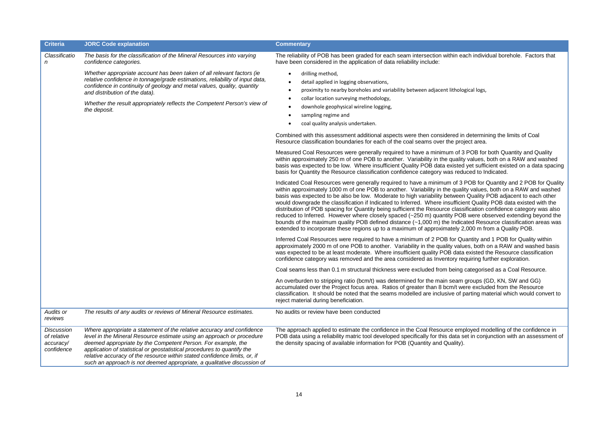| <b>Criteria</b>                                      | <b>JORC Code explanation</b>                                                                                                                                                                                                                                                                                                                                                                                                                      | <b>Commentary</b>                                                                                                                                                                                                                                                                                                                                                                                                                                                                                                                                                                                                                                                                                                                                                                                                                                                                                                                 |  |
|------------------------------------------------------|---------------------------------------------------------------------------------------------------------------------------------------------------------------------------------------------------------------------------------------------------------------------------------------------------------------------------------------------------------------------------------------------------------------------------------------------------|-----------------------------------------------------------------------------------------------------------------------------------------------------------------------------------------------------------------------------------------------------------------------------------------------------------------------------------------------------------------------------------------------------------------------------------------------------------------------------------------------------------------------------------------------------------------------------------------------------------------------------------------------------------------------------------------------------------------------------------------------------------------------------------------------------------------------------------------------------------------------------------------------------------------------------------|--|
| Classificatio<br>n                                   | The basis for the classification of the Mineral Resources into varying<br>confidence categories.                                                                                                                                                                                                                                                                                                                                                  | The reliability of POB has been graded for each seam intersection within each individual borehole. Factors that<br>have been considered in the application of data reliability include:                                                                                                                                                                                                                                                                                                                                                                                                                                                                                                                                                                                                                                                                                                                                           |  |
|                                                      | Whether appropriate account has been taken of all relevant factors (ie<br>relative confidence in tonnage/grade estimations, reliability of input data,<br>confidence in continuity of geology and metal values, quality, quantity<br>and distribution of the data).                                                                                                                                                                               | drilling method,<br>٠<br>detail applied in logging observations,<br>proximity to nearby boreholes and variability between adjacent lithological logs,<br>collar location surveying methodology,                                                                                                                                                                                                                                                                                                                                                                                                                                                                                                                                                                                                                                                                                                                                   |  |
|                                                      | Whether the result appropriately reflects the Competent Person's view of<br>the deposit.                                                                                                                                                                                                                                                                                                                                                          | downhole geophysical wireline logging,<br>sampling regime and<br>coal quality analysis undertaken.                                                                                                                                                                                                                                                                                                                                                                                                                                                                                                                                                                                                                                                                                                                                                                                                                                |  |
|                                                      |                                                                                                                                                                                                                                                                                                                                                                                                                                                   | Combined with this assessment additional aspects were then considered in determining the limits of Coal<br>Resource classification boundaries for each of the coal seams over the project area.                                                                                                                                                                                                                                                                                                                                                                                                                                                                                                                                                                                                                                                                                                                                   |  |
|                                                      |                                                                                                                                                                                                                                                                                                                                                                                                                                                   | Measured Coal Resources were generally required to have a minimum of 3 POB for both Quantity and Quality<br>within approximately 250 m of one POB to another. Variability in the quality values, both on a RAW and washed<br>basis was expected to be low. Where insufficient Quality POB data existed yet sufficient existed on a data spacing<br>basis for Quantity the Resource classification confidence category was reduced to Indicated.                                                                                                                                                                                                                                                                                                                                                                                                                                                                                   |  |
|                                                      |                                                                                                                                                                                                                                                                                                                                                                                                                                                   | Indicated Coal Resources were generally required to have a minimum of 3 POB for Quantity and 2 POB for Quality<br>within approximately 1000 m of one POB to another. Variability in the quality values, both on a RAW and washed<br>basis was expected to be also be low. Moderate to high variability between Quality POB adjacent to each other<br>would downgrade the classification if Indicated to Inferred. Where insufficient Quality POB data existed with the<br>distribution of POB spacing for Quantity being sufficient the Resource classification confidence category was also<br>reduced to Inferred. However where closely spaced (~250 m) quantity POB were observed extending beyond the<br>bounds of the maximum quality POB defined distance (~1,000 m) the Indicated Resource classification areas was<br>extended to incorporate these regions up to a maximum of approximately 2,000 m from a Quality POB. |  |
|                                                      |                                                                                                                                                                                                                                                                                                                                                                                                                                                   | Inferred Coal Resources were required to have a minimum of 2 POB for Quantity and 1 POB for Quality within<br>approximately 2000 m of one POB to another. Variability in the quality values, both on a RAW and washed basis<br>was expected to be at least moderate. Where insufficient quality POB data existed the Resource classification<br>confidence category was removed and the area considered as Inventory requiring further exploration.                                                                                                                                                                                                                                                                                                                                                                                                                                                                               |  |
|                                                      |                                                                                                                                                                                                                                                                                                                                                                                                                                                   | Coal seams less than 0.1 m structural thickness were excluded from being categorised as a Coal Resource.                                                                                                                                                                                                                                                                                                                                                                                                                                                                                                                                                                                                                                                                                                                                                                                                                          |  |
|                                                      |                                                                                                                                                                                                                                                                                                                                                                                                                                                   | An overburden to stripping ratio (bcm/t) was determined for the main seam groups (GD, KN, SW and GG)<br>accumulated over the Project focus area. Ratios of greater than 8 bcm/t were excluded from the Resource<br>classification. It should be noted that the seams modelled are inclusive of parting material which would convert to<br>reject material during beneficiation.                                                                                                                                                                                                                                                                                                                                                                                                                                                                                                                                                   |  |
| Audits or<br>reviews                                 | The results of any audits or reviews of Mineral Resource estimates.                                                                                                                                                                                                                                                                                                                                                                               | No audits or review have been conducted                                                                                                                                                                                                                                                                                                                                                                                                                                                                                                                                                                                                                                                                                                                                                                                                                                                                                           |  |
| Discussion<br>of relative<br>accuracy/<br>confidence | Where appropriate a statement of the relative accuracy and confidence<br>level in the Mineral Resource estimate using an approach or procedure<br>deemed appropriate by the Competent Person. For example, the<br>application of statistical or geostatistical procedures to quantify the<br>relative accuracy of the resource within stated confidence limits, or, if<br>such an approach is not deemed appropriate, a qualitative discussion of | The approach applied to estimate the confidence in the Coal Resource employed modelling of the confidence in<br>POB data using a reliability matric tool developed specifically for this data set in conjunction with an assessment of<br>the density spacing of available information for POB (Quantity and Quality).                                                                                                                                                                                                                                                                                                                                                                                                                                                                                                                                                                                                            |  |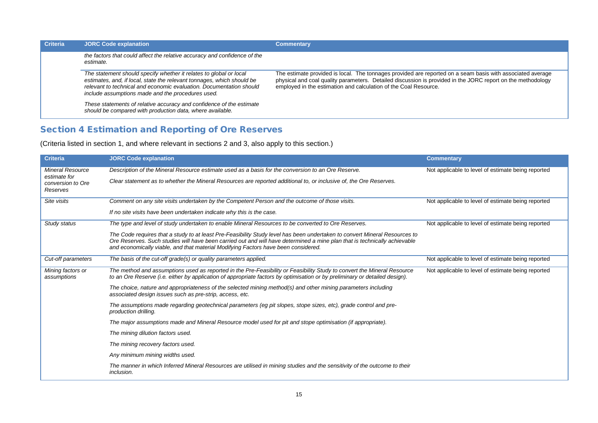| <b>Criteria</b> | <b>JORC Code explanation</b>                                                                                                                                                                                                                                             | <b>Commentary</b>                                                                                                                                                                                                                                                                             |
|-----------------|--------------------------------------------------------------------------------------------------------------------------------------------------------------------------------------------------------------------------------------------------------------------------|-----------------------------------------------------------------------------------------------------------------------------------------------------------------------------------------------------------------------------------------------------------------------------------------------|
|                 | the factors that could affect the relative accuracy and confidence of the<br>estimate.                                                                                                                                                                                   |                                                                                                                                                                                                                                                                                               |
|                 | The statement should specify whether it relates to global or local<br>estimates, and, if local, state the relevant tonnages, which should be<br>relevant to technical and economic evaluation. Documentation should<br>include assumptions made and the procedures used. | The estimate provided is local. The tonnages provided are reported on a seam basis with associated average<br>physical and coal quality parameters. Detailed discussion is provided in the JORC report on the methodology<br>employed in the estimation and calculation of the Coal Resource. |
|                 | These statements of relative accuracy and confidence of the estimate<br>should be compared with production data, where available.                                                                                                                                        |                                                                                                                                                                                                                                                                                               |

# Section 4 Estimation and Reporting of Ore Reserves

(Criteria listed in section 1, and where relevant in sections 2 and 3, also apply to this section.)

| <b>Criteria</b>                               | <b>JORC Code explanation</b>                                                                                                                                                                                                                                                                                                                  | <b>Commentary</b>                                  |
|-----------------------------------------------|-----------------------------------------------------------------------------------------------------------------------------------------------------------------------------------------------------------------------------------------------------------------------------------------------------------------------------------------------|----------------------------------------------------|
| <b>Mineral Resource</b>                       | Description of the Mineral Resource estimate used as a basis for the conversion to an Ore Reserve.                                                                                                                                                                                                                                            | Not applicable to level of estimate being reported |
| estimate for<br>conversion to Ore<br>Reserves | Clear statement as to whether the Mineral Resources are reported additional to, or inclusive of, the Ore Reserves.                                                                                                                                                                                                                            |                                                    |
| Site visits                                   | Comment on any site visits undertaken by the Competent Person and the outcome of those visits.                                                                                                                                                                                                                                                | Not applicable to level of estimate being reported |
|                                               | If no site visits have been undertaken indicate why this is the case.                                                                                                                                                                                                                                                                         |                                                    |
| Study status                                  | The type and level of study undertaken to enable Mineral Resources to be converted to Ore Reserves.                                                                                                                                                                                                                                           | Not applicable to level of estimate being reported |
|                                               | The Code requires that a study to at least Pre-Feasibility Study level has been undertaken to convert Mineral Resources to<br>Ore Reserves. Such studies will have been carried out and will have determined a mine plan that is technically achievable<br>and economically viable, and that material Modifying Factors have been considered. |                                                    |
| Cut-off parameters                            | The basis of the cut-off grade(s) or quality parameters applied.                                                                                                                                                                                                                                                                              | Not applicable to level of estimate being reported |
| Mining factors or<br>assumptions              | The method and assumptions used as reported in the Pre-Feasibility or Feasibility Study to convert the Mineral Resource<br>to an Ore Reserve (i.e. either by application of appropriate factors by optimisation or by preliminary or detailed design).                                                                                        | Not applicable to level of estimate being reported |
|                                               | The choice, nature and appropriateness of the selected mining method(s) and other mining parameters including<br>associated design issues such as pre-strip, access, etc.                                                                                                                                                                     |                                                    |
|                                               | The assumptions made regarding geotechnical parameters (eg pit slopes, stope sizes, etc), grade control and pre-<br>production drilling.                                                                                                                                                                                                      |                                                    |
|                                               | The major assumptions made and Mineral Resource model used for pit and stope optimisation (if appropriate).                                                                                                                                                                                                                                   |                                                    |
|                                               | The mining dilution factors used.                                                                                                                                                                                                                                                                                                             |                                                    |
|                                               | The mining recovery factors used.                                                                                                                                                                                                                                                                                                             |                                                    |
|                                               | Any minimum mining widths used.                                                                                                                                                                                                                                                                                                               |                                                    |
|                                               | The manner in which Inferred Mineral Resources are utilised in mining studies and the sensitivity of the outcome to their<br>inclusion.                                                                                                                                                                                                       |                                                    |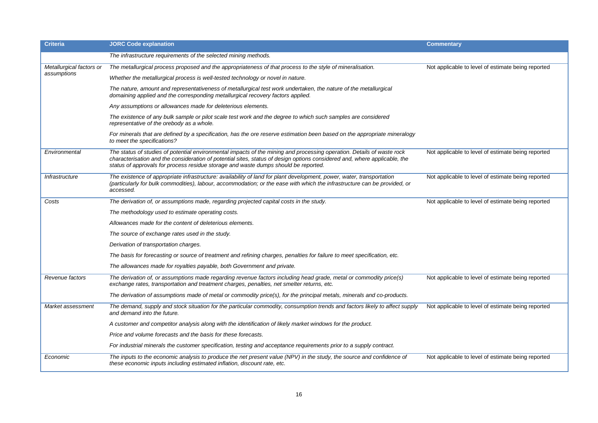| <b>Criteria</b>                         | <b>JORC Code explanation</b>                                                                                                                                                                                                                                                                                                               | <b>Commentary</b>                                  |
|-----------------------------------------|--------------------------------------------------------------------------------------------------------------------------------------------------------------------------------------------------------------------------------------------------------------------------------------------------------------------------------------------|----------------------------------------------------|
|                                         | The infrastructure requirements of the selected mining methods.                                                                                                                                                                                                                                                                            |                                                    |
| Metallurgical factors or<br>assumptions | The metallurgical process proposed and the appropriateness of that process to the style of mineralisation.                                                                                                                                                                                                                                 | Not applicable to level of estimate being reported |
|                                         | Whether the metallurgical process is well-tested technology or novel in nature.                                                                                                                                                                                                                                                            |                                                    |
|                                         | The nature, amount and representativeness of metallurgical test work undertaken, the nature of the metallurgical<br>domaining applied and the corresponding metallurgical recovery factors applied.                                                                                                                                        |                                                    |
|                                         | Any assumptions or allowances made for deleterious elements.                                                                                                                                                                                                                                                                               |                                                    |
|                                         | The existence of any bulk sample or pilot scale test work and the degree to which such samples are considered<br>representative of the orebody as a whole.                                                                                                                                                                                 |                                                    |
|                                         | For minerals that are defined by a specification, has the ore reserve estimation been based on the appropriate mineralogy<br>to meet the specifications?                                                                                                                                                                                   |                                                    |
| Environmental                           | The status of studies of potential environmental impacts of the mining and processing operation. Details of waste rock<br>characterisation and the consideration of potential sites, status of design options considered and, where applicable, the<br>status of approvals for process residue storage and waste dumps should be reported. | Not applicable to level of estimate being reported |
| Infrastructure                          | The existence of appropriate infrastructure: availability of land for plant development, power, water, transportation<br>(particularly for bulk commodities), labour, accommodation; or the ease with which the infrastructure can be provided, or<br>accessed.                                                                            | Not applicable to level of estimate being reported |
| Costs                                   | The derivation of, or assumptions made, regarding projected capital costs in the study.                                                                                                                                                                                                                                                    | Not applicable to level of estimate being reported |
|                                         | The methodology used to estimate operating costs.                                                                                                                                                                                                                                                                                          |                                                    |
|                                         | Allowances made for the content of deleterious elements.                                                                                                                                                                                                                                                                                   |                                                    |
|                                         | The source of exchange rates used in the study.                                                                                                                                                                                                                                                                                            |                                                    |
|                                         | Derivation of transportation charges.                                                                                                                                                                                                                                                                                                      |                                                    |
|                                         | The basis for forecasting or source of treatment and refining charges, penalties for failure to meet specification, etc.                                                                                                                                                                                                                   |                                                    |
|                                         | The allowances made for royalties payable, both Government and private.                                                                                                                                                                                                                                                                    |                                                    |
| Revenue factors                         | The derivation of, or assumptions made regarding revenue factors including head grade, metal or commodity price(s)<br>exchange rates, transportation and treatment charges, penalties, net smelter returns, etc.                                                                                                                           | Not applicable to level of estimate being reported |
|                                         | The derivation of assumptions made of metal or commodity price(s), for the principal metals, minerals and co-products.                                                                                                                                                                                                                     |                                                    |
| Market assessment                       | The demand, supply and stock situation for the particular commodity, consumption trends and factors likely to affect supply<br>and demand into the future.                                                                                                                                                                                 | Not applicable to level of estimate being reported |
|                                         | A customer and competitor analysis along with the identification of likely market windows for the product.                                                                                                                                                                                                                                 |                                                    |
|                                         | Price and volume forecasts and the basis for these forecasts.                                                                                                                                                                                                                                                                              |                                                    |
|                                         | For industrial minerals the customer specification, testing and acceptance requirements prior to a supply contract.                                                                                                                                                                                                                        |                                                    |
| Economic                                | The inputs to the economic analysis to produce the net present value (NPV) in the study, the source and confidence of<br>these economic inputs including estimated inflation, discount rate, etc.                                                                                                                                          | Not applicable to level of estimate being reported |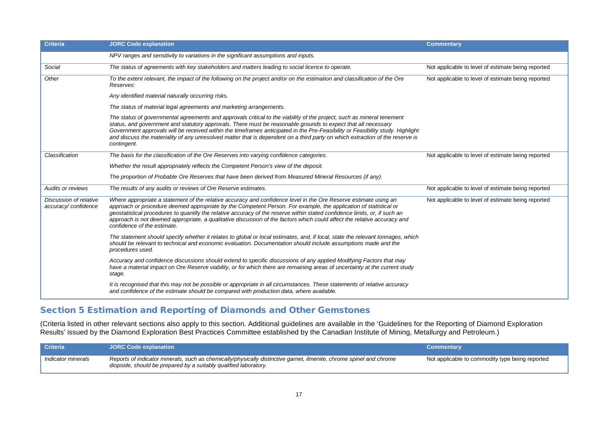| <b>Criteria</b>                               | <b>JORC Code explanation</b>                                                                                                                                                                                                                                                                                                                                                                                                                                                                                                  | <b>Commentary</b>                                  |
|-----------------------------------------------|-------------------------------------------------------------------------------------------------------------------------------------------------------------------------------------------------------------------------------------------------------------------------------------------------------------------------------------------------------------------------------------------------------------------------------------------------------------------------------------------------------------------------------|----------------------------------------------------|
|                                               | NPV ranges and sensitivity to variations in the significant assumptions and inputs.                                                                                                                                                                                                                                                                                                                                                                                                                                           |                                                    |
| Social                                        | The status of agreements with key stakeholders and matters leading to social licence to operate.                                                                                                                                                                                                                                                                                                                                                                                                                              | Not applicable to level of estimate being reported |
| Other                                         | To the extent relevant, the impact of the following on the project and/or on the estimation and classification of the Ore<br>Reserves:                                                                                                                                                                                                                                                                                                                                                                                        | Not applicable to level of estimate being reported |
|                                               | Any identified material naturally occurring risks.                                                                                                                                                                                                                                                                                                                                                                                                                                                                            |                                                    |
|                                               | The status of material legal agreements and marketing arrangements.                                                                                                                                                                                                                                                                                                                                                                                                                                                           |                                                    |
|                                               | The status of governmental agreements and approvals critical to the viability of the project, such as mineral tenement<br>status, and government and statutory approvals. There must be reasonable grounds to expect that all necessary<br>Government approvals will be received within the timeframes anticipated in the Pre-Feasibility or Feasibility study. Highlight<br>and discuss the materiality of any unresolved matter that is dependent on a third party on which extraction of the reserve is<br>contingent.     |                                                    |
| Classification                                | The basis for the classification of the Ore Reserves into varying confidence categories.                                                                                                                                                                                                                                                                                                                                                                                                                                      | Not applicable to level of estimate being reported |
|                                               | Whether the result appropriately reflects the Competent Person's view of the deposit.                                                                                                                                                                                                                                                                                                                                                                                                                                         |                                                    |
|                                               | The proportion of Probable Ore Reserves that have been derived from Measured Mineral Resources (if any).                                                                                                                                                                                                                                                                                                                                                                                                                      |                                                    |
| <b>Audits or reviews</b>                      | The results of any audits or reviews of Ore Reserve estimates.                                                                                                                                                                                                                                                                                                                                                                                                                                                                | Not applicable to level of estimate being reported |
| Discussion of relative<br>accuracy/confidence | Where appropriate a statement of the relative accuracy and confidence level in the Ore Reserve estimate using an<br>approach or procedure deemed appropriate by the Competent Person. For example, the application of statistical or<br>geostatistical procedures to quantify the relative accuracy of the reserve within stated confidence limits, or, if such an<br>approach is not deemed appropriate, a qualitative discussion of the factors which could affect the relative accuracy and<br>confidence of the estimate. | Not applicable to level of estimate being reported |
|                                               | The statement should specify whether it relates to global or local estimates, and, if local, state the relevant tonnages, which<br>should be relevant to technical and economic evaluation. Documentation should include assumptions made and the<br>procedures used.                                                                                                                                                                                                                                                         |                                                    |
|                                               | Accuracy and confidence discussions should extend to specific discussions of any applied Modifying Factors that may<br>have a material impact on Ore Reserve viability, or for which there are remaining areas of uncertainty at the current study<br>stage.                                                                                                                                                                                                                                                                  |                                                    |
|                                               | It is recognised that this may not be possible or appropriate in all circumstances. These statements of relative accuracy<br>and confidence of the estimate should be compared with production data, where available.                                                                                                                                                                                                                                                                                                         |                                                    |

### Section 5 Estimation and Reporting of Diamonds and Other Gemstones

(Criteria listed in other relevant sections also apply to this section. Additional guidelines are available in the 'Guidelines for the Reporting of Diamond Exploration Results' issued by the Diamond Exploration Best Practices Committee established by the Canadian Institute of Mining, Metallurgy and Petroleum.)

| <b>Criteria</b>    | <b>JORC Code explanation</b>                                                                                                                                                            | <b>Commentary</b>                               |
|--------------------|-----------------------------------------------------------------------------------------------------------------------------------------------------------------------------------------|-------------------------------------------------|
| Indicator minerals | Reports of indicator minerals, such as chemically/physically distinctive garnet, ilmenite, chrome spinel and chrome<br>diopside, should be prepared by a suitably qualified laboratory. | Not applicable to commodity type being reported |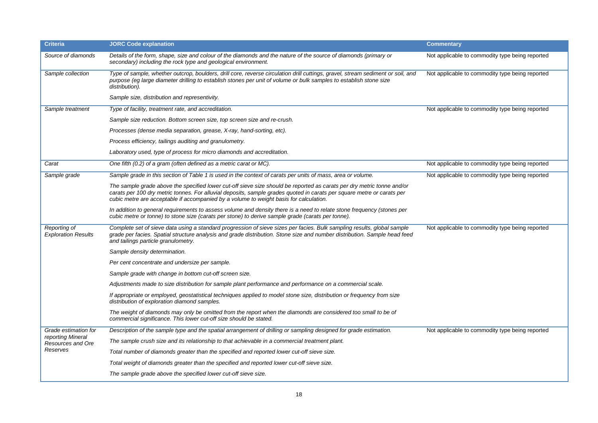| <b>Criteria</b>                            | <b>JORC Code explanation</b>                                                                                                                                                                                                                                                                                                               | <b>Commentary</b>                               |
|--------------------------------------------|--------------------------------------------------------------------------------------------------------------------------------------------------------------------------------------------------------------------------------------------------------------------------------------------------------------------------------------------|-------------------------------------------------|
| Source of diamonds                         | Details of the form, shape, size and colour of the diamonds and the nature of the source of diamonds (primary or<br>secondary) including the rock type and geological environment.                                                                                                                                                         | Not applicable to commodity type being reported |
| Sample collection                          | Type of sample, whether outcrop, boulders, drill core, reverse circulation drill cuttings, gravel, stream sediment or soil, and<br>purpose (eq large diameter drilling to establish stones per unit of volume or bulk samples to establish stone size<br>distribution).                                                                    | Not applicable to commodity type being reported |
|                                            | Sample size, distribution and representivity.                                                                                                                                                                                                                                                                                              |                                                 |
| Sample treatment                           | Type of facility, treatment rate, and accreditation.                                                                                                                                                                                                                                                                                       | Not applicable to commodity type being reported |
|                                            | Sample size reduction. Bottom screen size, top screen size and re-crush.                                                                                                                                                                                                                                                                   |                                                 |
|                                            | Processes (dense media separation, grease, X-ray, hand-sorting, etc).                                                                                                                                                                                                                                                                      |                                                 |
|                                            | Process efficiency, tailings auditing and granulometry.                                                                                                                                                                                                                                                                                    |                                                 |
|                                            | Laboratory used, type of process for micro diamonds and accreditation.                                                                                                                                                                                                                                                                     |                                                 |
| Carat                                      | One fifth (0.2) of a gram (often defined as a metric carat or MC).                                                                                                                                                                                                                                                                         | Not applicable to commodity type being reported |
| Sample grade                               | Sample grade in this section of Table 1 is used in the context of carats per units of mass, area or volume.                                                                                                                                                                                                                                | Not applicable to commodity type being reported |
|                                            | The sample grade above the specified lower cut-off sieve size should be reported as carats per dry metric tonne and/or<br>carats per 100 dry metric tonnes. For alluvial deposits, sample grades quoted in carats per square metre or carats per<br>cubic metre are acceptable if accompanied by a volume to weight basis for calculation. |                                                 |
|                                            | In addition to general requirements to assess volume and density there is a need to relate stone frequency (stones per<br>cubic metre or tonne) to stone size (carats per stone) to derive sample grade (carats per tonne).                                                                                                                |                                                 |
| Reporting of<br><b>Exploration Results</b> | Complete set of sieve data using a standard progression of sieve sizes per facies. Bulk sampling results, global sample<br>grade per facies. Spatial structure analysis and grade distribution. Stone size and number distribution. Sample head feed<br>and tailings particle granulometry.                                                | Not applicable to commodity type being reported |
|                                            | Sample density determination.                                                                                                                                                                                                                                                                                                              |                                                 |
|                                            | Per cent concentrate and undersize per sample.                                                                                                                                                                                                                                                                                             |                                                 |
|                                            | Sample grade with change in bottom cut-off screen size.                                                                                                                                                                                                                                                                                    |                                                 |
|                                            | Adjustments made to size distribution for sample plant performance and performance on a commercial scale.                                                                                                                                                                                                                                  |                                                 |
|                                            | If appropriate or employed, geostatistical techniques applied to model stone size, distribution or frequency from size<br>distribution of exploration diamond samples.                                                                                                                                                                     |                                                 |
|                                            | The weight of diamonds may only be omitted from the report when the diamonds are considered too small to be of<br>commercial significance. This lower cut-off size should be stated.                                                                                                                                                       |                                                 |
| Grade estimation for                       | Description of the sample type and the spatial arrangement of drilling or sampling designed for grade estimation.                                                                                                                                                                                                                          | Not applicable to commodity type being reported |
| reporting Mineral<br>Resources and Ore     | The sample crush size and its relationship to that achievable in a commercial treatment plant.                                                                                                                                                                                                                                             |                                                 |
| Reserves                                   | Total number of diamonds greater than the specified and reported lower cut-off sieve size.                                                                                                                                                                                                                                                 |                                                 |
|                                            | Total weight of diamonds greater than the specified and reported lower cut-off sieve size.                                                                                                                                                                                                                                                 |                                                 |
|                                            | The sample grade above the specified lower cut-off sieve size.                                                                                                                                                                                                                                                                             |                                                 |